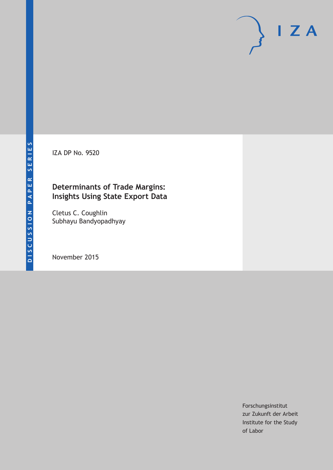IZA DP No. 9520

### **Determinants of Trade Margins: Insights Using State Export Data**

Cletus C. Coughlin Subhayu Bandyopadhyay

November 2015

Forschungsinstitut zur Zukunft der Arbeit Institute for the Study of Labor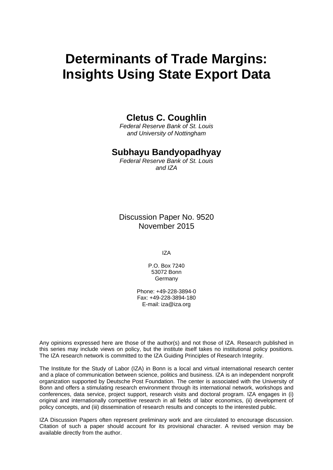# **Determinants of Trade Margins: Insights Using State Export Data**

### **Cletus C. Coughlin**

*Federal Reserve Bank of St. Louis and University of Nottingham* 

### **Subhayu Bandyopadhyay**

*Federal Reserve Bank of St. Louis and IZA* 

Discussion Paper No. 9520 November 2015

IZA

P.O. Box 7240 53072 Bonn Germany

Phone: +49-228-3894-0 Fax: +49-228-3894-180 E-mail: iza@iza.org

Any opinions expressed here are those of the author(s) and not those of IZA. Research published in this series may include views on policy, but the institute itself takes no institutional policy positions. The IZA research network is committed to the IZA Guiding Principles of Research Integrity.

The Institute for the Study of Labor (IZA) in Bonn is a local and virtual international research center and a place of communication between science, politics and business. IZA is an independent nonprofit organization supported by Deutsche Post Foundation. The center is associated with the University of Bonn and offers a stimulating research environment through its international network, workshops and conferences, data service, project support, research visits and doctoral program. IZA engages in (i) original and internationally competitive research in all fields of labor economics, (ii) development of policy concepts, and (iii) dissemination of research results and concepts to the interested public.

IZA Discussion Papers often represent preliminary work and are circulated to encourage discussion. Citation of such a paper should account for its provisional character. A revised version may be available directly from the author.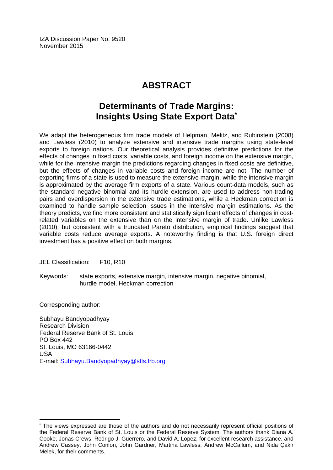IZA Discussion Paper No. 9520 November 2015

## **ABSTRACT**

## **Determinants of Trade Margins: Insights Using State Export Data\***

We adapt the heterogeneous firm trade models of Helpman, Melitz, and Rubinstein (2008) and Lawless (2010) to analyze extensive and intensive trade margins using state-level exports to foreign nations. Our theoretical analysis provides definitive predictions for the effects of changes in fixed costs, variable costs, and foreign income on the extensive margin, while for the intensive margin the predictions regarding changes in fixed costs are definitive, but the effects of changes in variable costs and foreign income are not. The number of exporting firms of a state is used to measure the extensive margin, while the intensive margin is approximated by the average firm exports of a state. Various count-data models, such as the standard negative binomial and its hurdle extension, are used to address non-trading pairs and overdispersion in the extensive trade estimations, while a Heckman correction is examined to handle sample selection issues in the intensive margin estimations. As the theory predicts, we find more consistent and statistically significant effects of changes in costrelated variables on the extensive than on the intensive margin of trade. Unlike Lawless (2010), but consistent with a truncated Pareto distribution, empirical findings suggest that variable costs reduce average exports. A noteworthy finding is that U.S. foreign direct investment has a positive effect on both margins.

JEL Classification: F10, R10

Keywords: state exports, extensive margin, intensive margin, negative binomial, hurdle model, Heckman correction

Corresponding author:

 $\overline{a}$ 

Subhayu Bandyopadhyay Research Division Federal Reserve Bank of St. Louis PO Box 442 St. Louis, MO 63166-0442 USA E-mail: Subhayu.Bandyopadhyay@stls.frb.org

<sup>\*</sup> The views expressed are those of the authors and do not necessarily represent official positions of the Federal Reserve Bank of St. Louis or the Federal Reserve System. The authors thank Diana A. Cooke, Jonas Crews, Rodrigo J. Guerrero, and David A. Lopez, for excellent research assistance, and Andrew Cassey, John Conlon, John Gardner, Martina Lawless, Andrew McCallum, and Nida Çakir Melek, for their comments.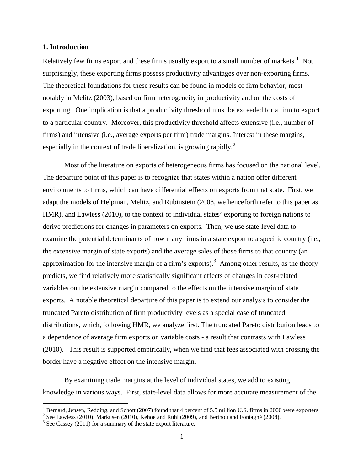#### **1. Introduction**

Relatively few firms export and these firms usually export to a small number of markets.<sup>[1](#page-3-0)</sup> Not surprisingly, these exporting firms possess productivity advantages over non-exporting firms. The theoretical foundations for these results can be found in models of firm behavior, most notably in Melitz (2003), based on firm heterogeneity in productivity and on the costs of exporting. One implication is that a productivity threshold must be exceeded for a firm to export to a particular country. Moreover, this productivity threshold affects extensive (i.e., number of firms) and intensive (i.e., average exports per firm) trade margins. Interest in these margins, especially in the context of trade liberalization, is growing rapidly.<sup>[2](#page-3-1)</sup>

Most of the literature on exports of heterogeneous firms has focused on the national level. The departure point of this paper is to recognize that states within a nation offer different environments to firms, which can have differential effects on exports from that state. First, we adapt the models of Helpman, Melitz, and Rubinstein (2008, we henceforth refer to this paper as HMR), and Lawless (2010), to the context of individual states' exporting to foreign nations to derive predictions for changes in parameters on exports. Then, we use state-level data to examine the potential determinants of how many firms in a state export to a specific country (i.e., the extensive margin of state exports) and the average sales of those firms to that country (an approximation for the intensive margin of a firm's exports).<sup>[3](#page-3-2)</sup> Among other results, as the theory predicts, we find relatively more statistically significant effects of changes in cost-related variables on the extensive margin compared to the effects on the intensive margin of state exports. A notable theoretical departure of this paper is to extend our analysis to consider the truncated Pareto distribution of firm productivity levels as a special case of truncated distributions, which, following HMR, we analyze first. The truncated Pareto distribution leads to a dependence of average firm exports on variable costs - a result that contrasts with Lawless (2010). This result is supported empirically, when we find that fees associated with crossing the border have a negative effect on the intensive margin.

By examining trade margins at the level of individual states, we add to existing knowledge in various ways. First, state-level data allows for more accurate measurement of the

<sup>&</sup>lt;sup>1</sup> Bernard, Jensen, Redding, and Schott (2007) found that 4 percent of 5.5 million U.S. firms in 2000 were exporters.

<span id="page-3-1"></span><span id="page-3-0"></span><sup>&</sup>lt;sup>2</sup> See Lawless (2010), Markusen (2010), Kehoe and Ruhl (2009), and Berthou and Fontagné (2008). <sup>3</sup> See Cassey (2011) for a summary of the state export literature.

<span id="page-3-2"></span>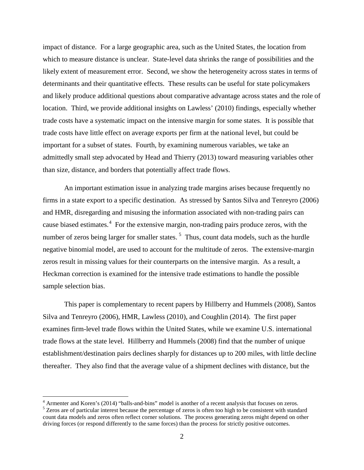impact of distance. For a large geographic area, such as the United States, the location from which to measure distance is unclear. State-level data shrinks the range of possibilities and the likely extent of measurement error. Second, we show the heterogeneity across states in terms of determinants and their quantitative effects. These results can be useful for state policymakers and likely produce additional questions about comparative advantage across states and the role of location. Third, we provide additional insights on Lawless' (2010) findings, especially whether trade costs have a systematic impact on the intensive margin for some states. It is possible that trade costs have little effect on average exports per firm at the national level, but could be important for a subset of states. Fourth, by examining numerous variables, we take an admittedly small step advocated by Head and Thierry (2013) toward measuring variables other than size, distance, and borders that potentially affect trade flows.

An important estimation issue in analyzing trade margins arises because frequently no firms in a state export to a specific destination. As stressed by Santos Silva and Tenreyro (2006) and HMR, disregarding and misusing the information associated with non-trading pairs can cause biased estimates.<sup>[4](#page-4-0)</sup> For the extensive margin, non-trading pairs produce zeros, with the number of zeros being larger for smaller states.<sup>[5](#page-4-1)</sup> Thus, count data models, such as the hurdle negative binomial model, are used to account for the multitude of zeros. The extensive-margin zeros result in missing values for their counterparts on the intensive margin. As a result, a Heckman correction is examined for the intensive trade estimations to handle the possible sample selection bias.

This paper is complementary to recent papers by Hillberry and Hummels (2008), Santos Silva and Tenreyro (2006), HMR, Lawless (2010), and Coughlin (2014). The first paper examines firm-level trade flows within the United States, while we examine U.S. international trade flows at the state level. Hillberry and Hummels (2008) find that the number of unique establishment/destination pairs declines sharply for distances up to 200 miles, with little decline thereafter. They also find that the average value of a shipment declines with distance, but the

<span id="page-4-0"></span> $^4$  Armenter and Koren's (2014) "balls-and-bins" model is another of a recent analysis that focuses on zeros.  $^5$  Zeros are of particular interest because the percentage of zeros is often too high to be consistent with

<span id="page-4-1"></span>count data models and zeros often reflect corner solutions. The process generating zeros might depend on other driving forces (or respond differently to the same forces) than the process for strictly positive outcomes.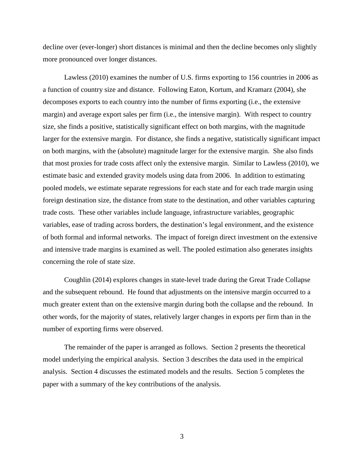decline over (ever-longer) short distances is minimal and then the decline becomes only slightly more pronounced over longer distances.

Lawless (2010) examines the number of U.S. firms exporting to 156 countries in 2006 as a function of country size and distance. Following Eaton, Kortum, and Kramarz (2004), she decomposes exports to each country into the number of firms exporting (i.e., the extensive margin) and average export sales per firm (i.e., the intensive margin). With respect to country size, she finds a positive, statistically significant effect on both margins, with the magnitude larger for the extensive margin. For distance, she finds a negative, statistically significant impact on both margins, with the (absolute) magnitude larger for the extensive margin. She also finds that most proxies for trade costs affect only the extensive margin. Similar to Lawless (2010), we estimate basic and extended gravity models using data from 2006. In addition to estimating pooled models, we estimate separate regressions for each state and for each trade margin using foreign destination size, the distance from state to the destination, and other variables capturing trade costs. These other variables include language, infrastructure variables, geographic variables, ease of trading across borders, the destination's legal environment, and the existence of both formal and informal networks. The impact of foreign direct investment on the extensive and intensive trade margins is examined as well. The pooled estimation also generates insights concerning the role of state size.

Coughlin (2014) explores changes in state-level trade during the Great Trade Collapse and the subsequent rebound. He found that adjustments on the intensive margin occurred to a much greater extent than on the extensive margin during both the collapse and the rebound. In other words, for the majority of states, relatively larger changes in exports per firm than in the number of exporting firms were observed.

The remainder of the paper is arranged as follows. Section 2 presents the theoretical model underlying the empirical analysis. Section 3 describes the data used in the empirical analysis. Section 4 discusses the estimated models and the results. Section 5 completes the paper with a summary of the key contributions of the analysis.

3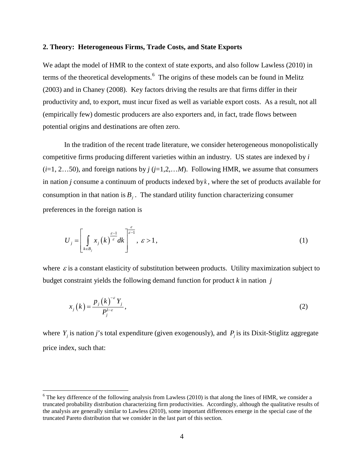#### **2. Theory: Heterogeneous Firms, Trade Costs, and State Exports**

We adapt the model of HMR to the context of state exports, and also follow Lawless (2010) in terms of the theoretical developments.<sup>[6](#page-6-0)</sup> The origins of these models can be found in Melitz (2003) and in Chaney (2008). Key factors driving the results are that firms differ in their productivity and, to export, must incur fixed as well as variable export costs. As a result, not all (empirically few) domestic producers are also exporters and, in fact, trade flows between potential origins and destinations are often zero.

In the tradition of the recent trade literature, we consider heterogeneous monopolistically competitive firms producing different varieties within an industry. US states are indexed by *i*  $(i=1, 2...50)$ , and foreign nations by  $j$  ( $j=1,2,...M$ ). Following HMR, we assume that consumers in nation *j* consume a continuum of products indexed by*k* , where the set of products available for consumption in that nation is  $B_i$ . The standard utility function characterizing consumer preferences in the foreign nation is

$$
U_j = \left[ \int_{k \in B_j} x_j \left( k \right)^{\frac{\varepsilon - 1}{\varepsilon}} dk \right]^{\frac{\varepsilon}{\varepsilon - 1}}, \quad \varepsilon > 1, \tag{1}
$$

where  $\varepsilon$  is a constant elasticity of substitution between products. Utility maximization subject to budget constraint yields the following demand function for product *k* in nation *j*

$$
x_j(k) = \frac{p_j(k)^{-\varepsilon} Y_j}{P_j^{1-\varepsilon}},
$$
\n(2)

where  $Y_i$  is nation *j*'s total expenditure (given exogenously), and  $P_i$  is its Dixit-Stiglitz aggregate price index, such that:

<span id="page-6-0"></span> $6$  The key difference of the following analysis from Lawless (2010) is that along the lines of HMR, we consider a truncated probability distribution characterizing firm productivities. Accordingly, although the qualitative results of the analysis are generally similar to Lawless (2010), some important differences emerge in the special case of the truncated Pareto distribution that we consider in the last part of this section.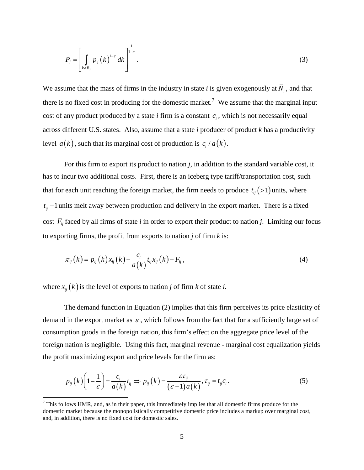$$
P_j = \left[ \int\limits_{k \in B_j} p_j(k)^{1-\varepsilon} dk \right]^{1-\varepsilon} . \tag{3}
$$

We assume that the mass of firms in the industry in state *i* is given exogenously at  $\overline{N}_i$ , and that there is no fixed cost in producing for the domestic market.<sup>[7](#page-7-0)</sup> We assume that the marginal input cost of any product produced by a state  $i$  firm is a constant  $c_i$ , which is not necessarily equal across different U.S. states. Also, assume that a state *i* producer of product *k* has a productivity level  $a(k)$ , such that its marginal cost of production is  $c_i/a(k)$ .

For this firm to export its product to nation *j*, in addition to the standard variable cost, it has to incur two additional costs. First, there is an iceberg type tariff/transportation cost, such that for each unit reaching the foreign market, the firm needs to produce  $t_{ij}$  (>1) units, where  $t_{ij}$  −1 units melt away between production and delivery in the export market. There is a fixed cost  $F_{ii}$  faced by all firms of state *i* in order to export their product to nation *j*. Limiting our focus to exporting firms, the profit from exports to nation *j* of firm *k* is:

$$
\pi_{ij}(k) = p_{ij}(k)x_{ij}(k) - \frac{c_i}{a(k)}t_{ij}x_{ij}(k) - F_{ij},
$$
\n(4)

where  $x_{ij}(k)$  is the level of exports to nation *j* of firm *k* of state *i*.

The demand function in Equation (2) implies that this firm perceives its price elasticity of demand in the export market as  $\varepsilon$ , which follows from the fact that for a sufficiently large set of consumption goods in the foreign nation, this firm's effect on the aggregate price level of the foreign nation is negligible. Using this fact, marginal revenue - marginal cost equalization yields the profit maximizing export and price levels for the firm as:

$$
p_{ij}(k)\left(1-\frac{1}{\varepsilon}\right) = \frac{c_i}{a(k)}t_{ij} \Rightarrow p_{ij}(k) = \frac{\varepsilon\tau_{ij}}{(\varepsilon-1)a(k)}, \tau_{ij} = t_{ij}c_i.
$$
 (5)

<span id="page-7-0"></span> $<sup>7</sup>$  This follows HMR, and, as in their paper, this immediately implies that all domestic firms produce for the</sup> domestic market because the monopolistically competitive domestic price includes a markup over marginal cost, and, in addition, there is no fixed cost for domestic sales.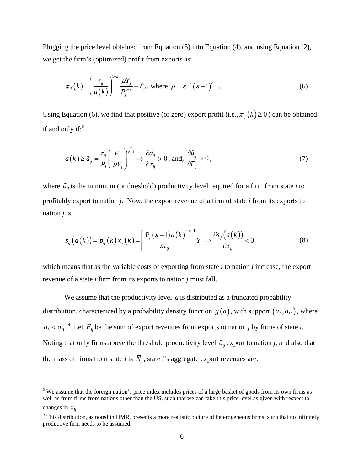Plugging the price level obtained from Equation (5) into Equation (4), and using Equation (2), we get the firm's (optimized) profit from exports as:

$$
\pi_{ij}(k) = \left(\frac{\tau_{ij}}{a(k)}\right)^{1-\varepsilon} \frac{\mu Y_j}{P_j^{1-\varepsilon}} - F_{ij}, \text{ where } \mu = \varepsilon^{-\varepsilon} \left(\varepsilon - 1\right)^{\varepsilon - 1}.
$$
 (6)

Using Equation (6), we find that positive (or zero) export profit (i.e.,  $\pi_{ii}(k) \ge 0$ ) can be obtained if and only if:<sup>[8](#page-8-0)</sup>

$$
a(k) \ge \tilde{a}_{ij} = \frac{\tau_{ij}}{P_j} \left( \frac{F_{ij}}{\mu Y_j} \right)^{\frac{1}{\varepsilon - 1}} \Rightarrow \frac{\partial \tilde{a}_{ij}}{\partial \tau_{ij}} > 0, \text{ and, } \frac{\partial \tilde{a}_{ij}}{\partial F_{ij}} > 0,
$$
\n(7)

where  $\tilde{a}_{ii}$  is the minimum (or threshold) productivity level required for a firm from state *i* to profitably export to nation *j*. Now, the export revenue of a firm of state *i* from its exports to nation *j* is:

$$
s_{ij}(a(k)) = p_{ij}(k)x_{ij}(k) = \left[\frac{P_j(\varepsilon-1)a(k)}{\varepsilon\tau_{ij}}\right]^{\varepsilon-1} Y_j \Rightarrow \frac{\partial s_{ij}(a(k))}{\partial \tau_{ij}} < 0, \qquad (8)
$$

which means that as the variable costs of exporting from state *i* to nation *j* increase, the export revenue of a state *i* firm from its exports to nation *j* must fall.

We assume that the productivity level  $\alpha$  is distributed as a truncated probability distribution, characterized by a probability density function  $g(a)$ , with support  $(a<sub>L</sub>, a<sub>H</sub>)$ , where  $a_L < a_H$ .<sup>[9](#page-8-1)</sup> Let  $E_{ij}$  be the sum of export revenues from exports to nation *j* by firms of state *i*. Noting that only firms above the threshold productivity level  $\tilde{a}_{ii}$  export to nation *j*, and also that the mass of firms from state *i* is  $\overline{N}_i$ , state *i*'s aggregate export revenues are:

<span id="page-8-0"></span><sup>&</sup>lt;sup>8</sup> We assume that the foreign nation's price index includes prices of a large basket of goods from its own firms as well as from firms from nations other than the US, such that we can take this price level as given with respect to changes in  $\tau_{ii}$ .

<span id="page-8-1"></span> $9$  This distribution, as noted in HMR, presents a more realistic picture of heterogeneous firms, such that no infinitely productive firm needs to be assumed.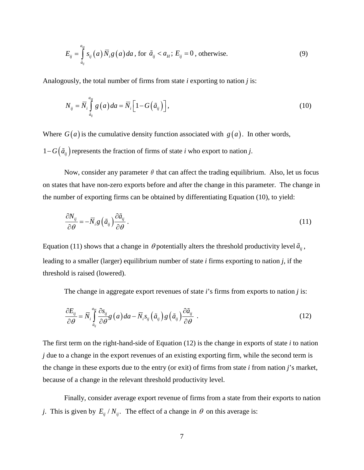$$
E_{ij} = \int_{\tilde{a}_{ij}}^{a_H} s_{ij}(a) \overline{N}_i g(a) da
$$
, for  $\tilde{a}_{ij} < a_H$ ;  $E_{ij} = 0$ , otherwise. (9)

Analogously, the total number of firms from state *i* exporting to nation *j* is:

$$
N_{ij} = \overline{N}_i \int_{\tilde{a}_{ij}}^{\tilde{a}_{ij}} g\left(a\right) da = \overline{N}_i \left[1 - G\left(\tilde{a}_{ij}\right)\right],\tag{10}
$$

Where  $G(a)$  is the cumulative density function associated with  $g(a)$ . In other words, 1−*G*( $\tilde{a}_{ij}$ ) represents the fraction of firms of state *i* who export to nation *j*.

Now, consider any parameter  $\theta$  that can affect the trading equilibrium. Also, let us focus on states that have non-zero exports before and after the change in this parameter. The change in the number of exporting firms can be obtained by differentiating Equation (10), to yield:

$$
\frac{\partial N_{ij}}{\partial \theta} = -\overline{N}_i g \left( \tilde{a}_{ij} \right) \frac{\partial \tilde{a}_{ij}}{\partial \theta} \,. \tag{11}
$$

Equation (11) shows that a change in  $\theta$  potentially alters the threshold productivity level  $\tilde{a}_{ij}$ , leading to a smaller (larger) equilibrium number of state *i* firms exporting to nation *j*, if the threshold is raised (lowered).

The change in aggregate export revenues of state *i*'s firms from exports to nation *j* is:

$$
\frac{\partial E_{ij}}{\partial \theta} = \overline{N}_i \int_{\tilde{a}_{ij}}^{a_{ij}} \frac{\partial s_{ij}}{\partial \theta} g\left(a\right) da - \overline{N}_i s_{ij} \left(\tilde{a}_{ij}\right) g\left(\tilde{a}_{ij}\right) \frac{\partial \tilde{a}_{ij}}{\partial \theta} \tag{12}
$$

The first term on the right-hand-side of Equation (12) is the change in exports of state *i* to nation *j* due to a change in the export revenues of an existing exporting firm, while the second term is the change in these exports due to the entry (or exit) of firms from state *i* from nation *j*'s market, because of a change in the relevant threshold productivity level.

Finally, consider average export revenue of firms from a state from their exports to nation *j*. This is given by  $E_{ii}/N_{ii}$ . The effect of a change in  $\theta$  on this average is: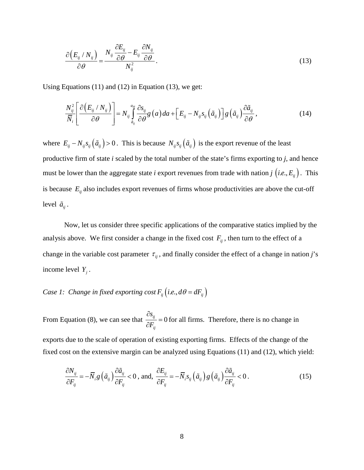$$
\frac{\partial (E_{ij} / N_{ij})}{\partial \theta} = \frac{N_{ij} \frac{\partial E_{ij}}{\partial \theta} - E_{ij} \frac{\partial N_{ij}}{\partial \theta}}{N_{ij}^2}.
$$
\n(13)

Using Equations (11) and (12) in Equation (13), we get:

$$
\frac{N_{ij}^2}{\overline{N}_i} \left[ \frac{\partial (E_{ij} / N_{ij})}{\partial \theta} \right] = N_{ij} \int_{\tilde{a}_{ij}}^{a_{ij}} \frac{\partial s_{ij}}{\partial \theta} g\left(a\right) da + \left[E_{ij} - N_{ij} s_{ij} \left(\tilde{a}_{ij}\right)\right] g\left(\tilde{a}_{ij}\right) \frac{\partial \tilde{a}_{ij}}{\partial \theta},\tag{14}
$$

where  $E_{ij} - N_{ij} s_{ij} (\tilde{a}_{ij}) > 0$ . This is because  $N_{ij} s_{ij} (\tilde{a}_{ij})$  is the export revenue of the least productive firm of state *i* scaled by the total number of the state's firms exporting to *j*, and hence must be lower than the aggregate state *i* export revenues from trade with nation *j* (*i.e.*,  $E_{ij}$ ). This is because  $E_{ij}$  also includes export revenues of firms whose productivities are above the cut-off level  $\tilde{a}_{ii}$ .

Now, let us consider three specific applications of the comparative statics implied by the analysis above. We first consider a change in the fixed cost  $F_{ii}$ , then turn to the effect of a change in the variable cost parameter  $\tau_{ij}$ , and finally consider the effect of a change in nation *j*'s income level  $Y_i$ .

# *Case 1: Change in fixed exporting cost*  $F_{ij}$  (*i.e., d* $\theta = dF_{ij}$ )

From Equation (8), we can see that  $\frac{0.6}{2.5} = 0$ *ij s*  $\frac{\partial s_{ij}}{\partial F_{ii}} =$ for all firms. Therefore, there is no change in exports due to the scale of operation of existing exporting firms. Effects of the change of the fixed cost on the extensive margin can be analyzed using Equations (11) and (12), which yield:

$$
\frac{\partial N_{ij}}{\partial F_{ij}} = -\overline{N}_i g\left(\tilde{a}_{ij}\right) \frac{\partial \tilde{a}_{ij}}{\partial F_{ij}} < 0, \text{ and, } \frac{\partial E_{ij}}{\partial F_{ij}} = -\overline{N}_i s_{ij} \left(\tilde{a}_{ij}\right) g\left(\tilde{a}_{ij}\right) \frac{\partial \tilde{a}_{ij}}{\partial F_{ij}} < 0.
$$
\n(15)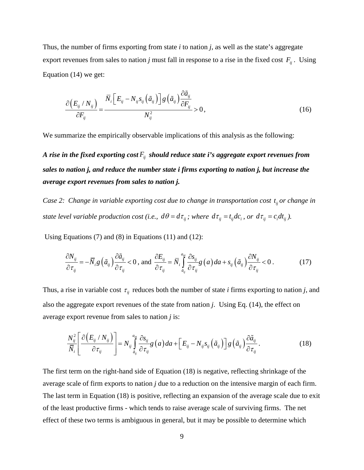Thus, the number of firms exporting from state *i* to nation *j*, as well as the state's aggregate export revenues from sales to nation *j* must fall in response to a rise in the fixed cost  $F_{ij}$ . Using Equation (14) we get:

$$
\frac{\partial (E_{ij} / N_{ij})}{\partial F_{ij}} = \frac{\overline{N}_i \left[E_{ij} - N_{ij} s_{ij} \left(\tilde{a}_{ij}\right)\right] g\left(\tilde{a}_{ij}\right) \frac{\partial \tilde{a}_{ij}}{\partial F_{ij}}}{N_{ij}^2} > 0, \tag{16}
$$

We summarize the empirically observable implications of this analysis as the following:

*A rise in the fixed exporting cost Fij should reduce state i's aggregate export revenues from sales to nation j, and reduce the number state i firms exporting to nation j, but increase the average export revenues from sales to nation j.* 

*Case 2: Change in variable exporting cost due to change in transportation cost*  $t_{ii}$  *or change in state level variable production cost (i.e.,*  $d\theta = d\tau_{ij}$ ; where  $d\tau_{ij} = t_{ij}dc_i$ , or  $d\tau_{ij} = c_i dt_{ij}$ ).

Using Equations (7) and (8) in Equations (11) and (12):

$$
\frac{\partial N_{ij}}{\partial \tau_{ij}} = -\overline{N}_i g\left(\tilde{a}_{ij}\right) \frac{\partial \tilde{a}_{ij}}{\partial \tau_{ij}} < 0, \text{ and } \frac{\partial E_{ij}}{\partial \tau_{ij}} = \overline{N}_i \int_{\tilde{a}_{ij}}^{\tilde{a}_{ij}} \frac{\partial s_{ij}}{\partial \tau_{ij}} g\left(a\right) da + s_{ij} \left(\tilde{a}_{ij}\right) \frac{\partial N_{ij}}{\partial \tau_{ij}} < 0. \tag{17}
$$

Thus, a rise in variable cost  $\tau_{ij}$  reduces both the number of state *i* firms exporting to nation *j*, and also the aggregate export revenues of the state from nation *j*. Using Eq. (14), the effect on average export revenue from sales to nation *j* is:

$$
\frac{N_{ij}^2}{\overline{N}_i} \left[ \frac{\partial \left( E_{ij} / N_{ij} \right)}{\partial \tau_{ij}} \right] = N_{ij} \int_{\tilde{a}_{ij}}^{a_{ij}} \frac{\partial s_{ij}}{\partial \tau_{ij}} g\left( a \right) da + \left[ E_{ij} - N_{ij} s_{ij} \left( \tilde{a}_{ij} \right) \right] g\left( \tilde{a}_{ij} \right) \frac{\partial \tilde{a}_{ij}}{\partial \tau_{ij}} . \tag{18}
$$

The first term on the right-hand side of Equation (18) is negative, reflecting shrinkage of the average scale of firm exports to nation *j* due to a reduction on the intensive margin of each firm. The last term in Equation (18) is positive, reflecting an expansion of the average scale due to exit of the least productive firms - which tends to raise average scale of surviving firms. The net effect of these two terms is ambiguous in general, but it may be possible to determine which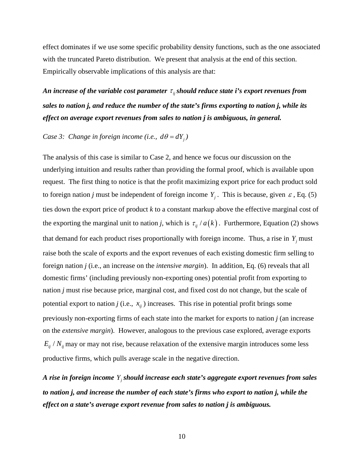effect dominates if we use some specific probability density functions, such as the one associated with the truncated Pareto distribution. We present that analysis at the end of this section. Empirically observable implications of this analysis are that:

*An increase of the variable cost parameter*  $\tau_{ij}$  *should reduce state i's export revenues from sales to nation j, and reduce the number of the state's firms exporting to nation j, while its effect on average export revenues from sales to nation j is ambiguous, in general.*

*Case 3: Change in foreign income (i.e.,*  $d\theta = dY_i$ *)* 

The analysis of this case is similar to Case 2, and hence we focus our discussion on the underlying intuition and results rather than providing the formal proof, which is available upon request. The first thing to notice is that the profit maximizing export price for each product sold to foreign nation *j* must be independent of foreign income  $Y_i$ . This is because, given  $\varepsilon$ , Eq. (5) ties down the export price of product *k* to a constant markup above the effective marginal cost of the exporting the marginal unit to nation *j*, which is  $\tau_{ij}$  /  $a(k)$ . Furthermore, Equation (2) shows that demand for each product rises proportionally with foreign income. Thus, a rise in  $Y_i$  must raise both the scale of exports and the export revenues of each existing domestic firm selling to foreign nation *j* (i.e., an increase on the *intensive margin*). In addition, Eq. (6) reveals that all domestic firms' (including previously non-exporting ones) potential profit from exporting to nation *j* must rise because price, marginal cost, and fixed cost do not change, but the scale of potential export to nation *j* (i.e.,  $x_{ij}$ ) increases. This rise in potential profit brings some previously non-exporting firms of each state into the market for exports to nation *j* (an increase on the *extensive margin*). However, analogous to the previous case explored, average exports  $E_{ij}$  /  $N_{ij}$  may or may not rise, because relaxation of the extensive margin introduces some less productive firms, which pulls average scale in the negative direction.

*A rise in foreign income Yj should increase each state's aggregate export revenues from sales to nation j, and increase the number of each state's firms who export to nation j, while the effect on a state's average export revenue from sales to nation j is ambiguous.*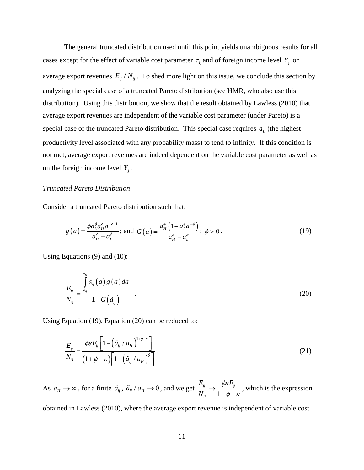The general truncated distribution used until this point yields unambiguous results for all cases except for the effect of variable cost parameter  $\tau_{ij}$  and of foreign income level  $Y_i$  on average export revenues  $E_{ij} / N_{ij}$ . To shed more light on this issue, we conclude this section by analyzing the special case of a truncated Pareto distribution (see HMR, who also use this distribution). Using this distribution, we show that the result obtained by Lawless (2010) that average export revenues are independent of the variable cost parameter (under Pareto) is a special case of the truncated Pareto distribution. This special case requires  $a_H$  (the highest productivity level associated with any probability mass) to tend to infinity. If this condition is not met, average export revenues are indeed dependent on the variable cost parameter as well as on the foreign income level  $Y_i$ .

#### *Truncated Pareto Distribution*

Consider a truncated Pareto distribution such that:

$$
g(a) = \frac{\phi a_L^{\phi} a_H^{\phi} a^{-\phi-1}}{a_H^{\phi} - a_L^{\phi}}; \text{ and } G(a) = \frac{a_H^{\phi} \left(1 - a_L^{\phi} a^{-\phi}\right)}{a_H^{\phi} - a_L^{\phi}}; \phi > 0.
$$
 (19)

Using Equations (9) and (10):

$$
\frac{E_{ij}}{N_{ij}} = \frac{\int_{\tilde{a}_{ij}}^{a_{ij}} s_{ij}(a) g(a) da}{1 - G(\tilde{a}_{ij})}
$$
\n(20)

Using Equation (19), Equation (20) can be reduced to:

$$
\frac{E_{ij}}{N_{ij}} = \frac{\phi \varepsilon F_{ij} \left[ 1 - \left( \tilde{a}_{ij} / a_H \right)^{1 + \phi - \varepsilon} \right]}{\left( 1 + \phi - \varepsilon \right) \left[ 1 - \left( \tilde{a}_{ij} / a_H \right)^{\phi} \right]}.
$$
\n(21)

As  $a_H \to \infty$ , for a finite  $\tilde{a}_{ij}$ ,  $\tilde{a}_{ij}/a_H \to 0$ , and we get  $\frac{a_{ij}}{N_{ij}} \to \frac{\varphi a_i}{1 + \varphi - \varphi}$ *ij*  $E_{ii}$   $\phi \varepsilon F_{ii}$ *N* φε  $\phi - \varepsilon$  $\rightarrow$  $+\phi -$ , which is the expression

obtained in Lawless (2010), where the average export revenue is independent of variable cost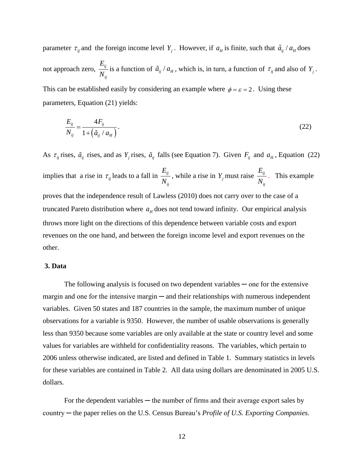parameter  $\tau_{ij}$  and the foreign income level  $Y_i$ . However, if  $a_{H}$  is finite, such that  $\tilde{a}_{ij}/a_{H}$  does not approach zero,  $\frac{L_{ij}}{l}$ *ij E*  $\frac{Z_{ij}}{N_{ij}}$  is a function of  $\tilde{a}_{ij}/a_{H}$ , which is, in turn, a function of  $\tau_{ij}$  and also of  $Y_{j}$ . This can be established easily by considering an example where  $\phi = \varepsilon = 2$ . Using these

parameters, Equation (21) yields:

$$
\frac{E_{ij}}{N_{ij}} = \frac{4F_{ij}}{1 + \left(\tilde{a}_{ij} / a_H\right)}.
$$
\n(22)

As  $\tau_{ij}$  rises,  $\tilde{a}_{ij}$  rises, and as  $Y_j$  rises,  $\tilde{a}_{ij}$  falls (see Equation 7). Given  $F_{ij}$  and  $a_H$ , Equation (22) implies that a rise in  $\tau_{ij}$  leads to a fall in  $\frac{L_{ij}}{N}$ *ij*  $\frac{E_{ij}}{N_{ij}}$ , while a rise in *Y<sub>j</sub>* must raise  $\frac{E_{ij}}{N_{ij}}$ *E*  $\frac{y}{N_{ii}}$ . This example proves that the independence result of Lawless (2010) does not carry over to the case of a truncated Pareto distribution where  $a_H$  does not tend toward infinity. Our empirical analysis throws more light on the directions of this dependence between variable costs and export revenues on the one hand, and between the foreign income level and export revenues on the other.

#### **3. Data**

The following analysis is focused on two dependent variables  $\sim$  one for the extensive margin and one for the intensive margin — and their relationships with numerous independent variables. Given 50 states and 187 countries in the sample, the maximum number of unique observations for a variable is 9350. However, the number of usable observations is generally less than 9350 because some variables are only available at the state or country level and some values for variables are withheld for confidentiality reasons. The variables, which pertain to 2006 unless otherwise indicated, are listed and defined in Table 1. Summary statistics in levels for these variables are contained in Table 2. All data using dollars are denominated in 2005 U.S. dollars.

For the dependent variables — the number of firms and their average export sales by country ─ the paper relies on the U.S. Census Bureau's *Profile of U.S. Exporting Companies*.

12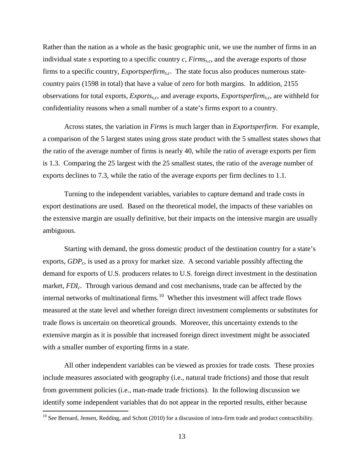Rather than the nation as a whole as the basic geographic unit, we use the number of firms in an individual state *s* exporting to a specific country *c*, *Firmss,c*, and the average exports of those firms to a specific country, *Exportsperfirms,c*. The state focus also produces numerous statecountry pairs (1598 in total) that have a value of zero for both margins. In addition, 2155 observations for total exports, *Exportss,c*, and average exports, *Exportsperfirms,c*, are withheld for confidentiality reasons when a small number of a state's firms export to a country.

Across states, the variation in *Firms* is much larger than in *Exportsperfirm*. For example, a comparison of the 5 largest states using gross state product with the 5 smallest states shows that the ratio of the average number of firms is nearly 40, while the ratio of average exports per firm is 1.3. Comparing the 25 largest with the 25 smallest states, the ratio of the average number of exports declines to 7.3, while the ratio of the average exports per firm declines to 1.1.

Turning to the independent variables, variables to capture demand and trade costs in export destinations are used. Based on the theoretical model, the impacts of these variables on the extensive margin are usually definitive, but their impacts on the intensive margin are usually ambiguous.

Starting with demand, the gross domestic product of the destination country for a state's exports, *GDPc*, is used as a proxy for market size. A second variable possibly affecting the demand for exports of U.S. producers relates to U.S. foreign direct investment in the destination market, *FDI<sub>c</sub>*. Through various demand and cost mechanisms, trade can be affected by the internal networks of multinational firms.<sup>10</sup> Whether this investment will affect trade flows measured at the state level and whether foreign direct investment complements or substitutes for trade flows is uncertain on theoretical grounds. Moreover, this uncertainty extends to the extensive margin as it is possible that increased foreign direct investment might be associated with a smaller number of exporting firms in a state.

All other independent variables can be viewed as proxies for trade costs. These proxies include measures associated with geography (i.e., natural trade frictions) and those that result from government policies (i.e., man-made trade frictions). In the following discussion we identify some independent variables that do not appear in the reported results, either because

<span id="page-15-0"></span> $10$  See Bernard, Jensen, Redding, and Schott (2010) for a discussion of intra-firm trade and product contractibility.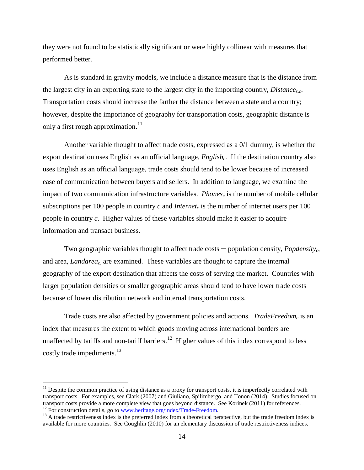they were not found to be statistically significant or were highly collinear with measures that performed better.

As is standard in gravity models, we include a distance measure that is the distance from the largest city in an exporting state to the largest city in the importing country, *Distance<sub>s.c</sub>*. Transportation costs should increase the farther the distance between a state and a country; however, despite the importance of geography for transportation costs, geographic distance is only a first rough approximation. $11$ 

Another variable thought to affect trade costs, expressed as a 0/1 dummy, is whether the export destination uses English as an official language, *English<sub>c</sub>*. If the destination country also uses English as an official language, trade costs should tend to be lower because of increased ease of communication between buyers and sellers. In addition to language, we examine the impact of two communication infrastructure variables. *Phones<sub>c</sub>* is the number of mobile cellular subscriptions per 100 people in country  $c$  and *Internet<sub>c</sub>* is the number of internet users per 100 people in country *c*. Higher values of these variables should make it easier to acquire information and transact business.

Two geographic variables thought to affect trade costs — population density, *Popdensity<sub>c</sub>*, and area, *Landarea<sub>c*</sub>, are examined. These variables are thought to capture the internal geography of the export destination that affects the costs of serving the market. Countries with larger population densities or smaller geographic areas should tend to have lower trade costs because of lower distribution network and internal transportation costs.

Trade costs are also affected by government policies and actions. *TradeFreedomc* is an index that measures the extent to which goods moving across international borders are unaffected by tariffs and non-tariff barriers.<sup>12</sup> Higher values of this index correspond to less costly trade impediments.<sup>[13](#page-16-2)</sup>

<span id="page-16-0"></span> $11$  Despite the common practice of using distance as a proxy for transport costs, it is imperfectly correlated with transport costs. For examples, see Clark (2007) and Giuliano, Spilimbergo, and Tonon (2014). Studies focused on transport costs provide a more complete view that goes beyond distance. See Korinek (2011) for references.<br><sup>12</sup> For construction details, go to www.heritage.org/index/Trade-Freedom.

<span id="page-16-2"></span><span id="page-16-1"></span> $^{13}$  A trade-restrictiveness index is the preferred index from a theoretical perspective, but the trade freedom index is available for more countries. See Coughlin (2010) for an elementary discussion of trade restrictiveness indices.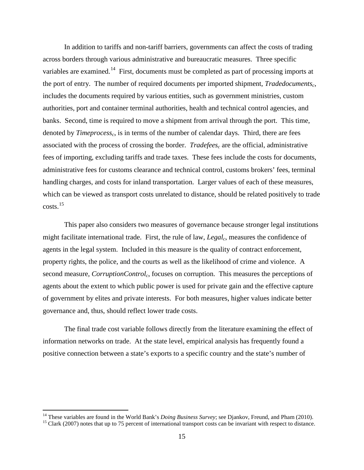In addition to tariffs and non-tariff barriers, governments can affect the costs of trading across borders through various administrative and bureaucratic measures. Three specific variables are examined.<sup>[14](#page-17-0)</sup> First, documents must be completed as part of processing imports at the port of entry. The number of required documents per imported shipment, *Tradedocuments<sub>c</sub>*, includes the documents required by various entities, such as government ministries, custom authorities, port and container terminal authorities, health and technical control agencies, and banks. Second, time is required to move a shipment from arrival through the port. This time, denoted by *Timeprocessc*, is in terms of the number of calendar days. Third, there are fees associated with the process of crossing the border. *Tradefees<sub>c</sub>* are the official, administrative fees of importing, excluding tariffs and trade taxes. These fees include the costs for documents, administrative fees for customs clearance and technical control, customs brokers' fees, terminal handling charges, and costs for inland transportation. Larger values of each of these measures, which can be viewed as transport costs unrelated to distance, should be related positively to trade  $costs.<sup>15</sup>$  $costs.<sup>15</sup>$  $costs.<sup>15</sup>$ 

This paper also considers two measures of governance because stronger legal institutions might facilitate international trade. First, the rule of law, *Legal<sub>c</sub>*, measures the confidence of agents in the legal system. Included in this measure is the quality of contract enforcement, property rights, the police, and the courts as well as the likelihood of crime and violence. A second measure, *CorruptionControl<sub>c</sub>*, focuses on corruption. This measures the perceptions of agents about the extent to which public power is used for private gain and the effective capture of government by elites and private interests. For both measures, higher values indicate better governance and, thus, should reflect lower trade costs.

The final trade cost variable follows directly from the literature examining the effect of information networks on trade. At the state level, empirical analysis has frequently found a positive connection between a state's exports to a specific country and the state's number of

<span id="page-17-1"></span><span id="page-17-0"></span><sup>&</sup>lt;sup>14</sup> These variables are found in the World Bank's *Doing Business Survey*; see Djankov, Freund, and Pham (2010).<br><sup>15</sup> Clark (2007) notes that up to 75 percent of international transport costs can be invariant with respec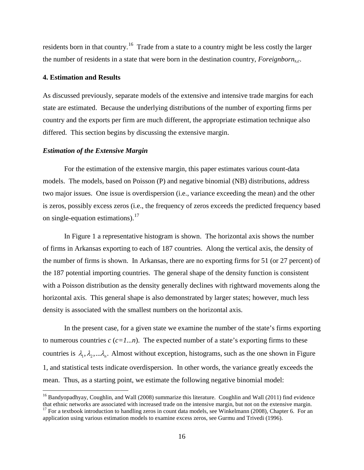residents born in that country.<sup>[16](#page-18-0)</sup> Trade from a state to a country might be less costly the larger the number of residents in a state that were born in the destination country, *Foreignborns,c*.

#### **4. Estimation and Results**

As discussed previously, separate models of the extensive and intensive trade margins for each state are estimated. Because the underlying distributions of the number of exporting firms per country and the exports per firm are much different, the appropriate estimation technique also differed. This section begins by discussing the extensive margin.

#### *Estimation of the Extensive Margin*

For the estimation of the extensive margin, this paper estimates various count-data models. The models, based on Poisson (P) and negative binomial (NB) distributions, address two major issues. One issue is overdispersion (i.e., variance exceeding the mean) and the other is zeros, possibly excess zeros (i.e., the frequency of zeros exceeds the predicted frequency based on single-equation estimations). $17$ 

In Figure 1 a representative histogram is shown. The horizontal axis shows the number of firms in Arkansas exporting to each of 187 countries. Along the vertical axis, the density of the number of firms is shown. In Arkansas, there are no exporting firms for 51 (or 27 percent) of the 187 potential importing countries. The general shape of the density function is consistent with a Poisson distribution as the density generally declines with rightward movements along the horizontal axis. This general shape is also demonstrated by larger states; however, much less density is associated with the smallest numbers on the horizontal axis.

In the present case, for a given state we examine the number of the state's firms exporting to numerous countries  $c$  ( $c=1...n$ ). The expected number of a state's exporting firms to these countries is  $\lambda_1, \lambda_2, \ldots, \lambda_n$ . Almost without exception, histograms, such as the one shown in Figure 1, and statistical tests indicate overdispersion. In other words, the variance greatly exceeds the mean. Thus, as a starting point, we estimate the following negative binomial model:

<span id="page-18-1"></span><span id="page-18-0"></span> $16$  Bandyopadhyay, Coughlin, and Wall (2008) summarize this literature. Coughlin and Wall (2011) find evidence that ethnic networks are associated with increased trade on the intensive margin, but not on the extensive margin.  $17$  For a textbook introduction to handling zeros in count data models, see Winkelmann (2008), Chapter 6. For an application using various estimation models to examine excess zeros, see Gurmu and Trivedi (1996).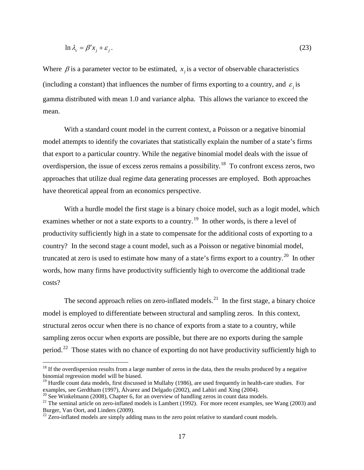$$
\ln \lambda_c = \beta' x_j + \varepsilon_j. \tag{23}
$$

Where  $\beta$  is a parameter vector to be estimated,  $x_i$  is a vector of observable characteristics (including a constant) that influences the number of firms exporting to a country, and  $\varepsilon$ , is gamma distributed with mean 1.0 and variance alpha. This allows the variance to exceed the mean.

With a standard count model in the current context, a Poisson or a negative binomial model attempts to identify the covariates that statistically explain the number of a state's firms that export to a particular country. While the negative binomial model deals with the issue of overdispersion, the issue of excess zeros remains a possibility.<sup>18</sup> To confront excess zeros, two approaches that utilize dual regime data generating processes are employed. Both approaches have theoretical appeal from an economics perspective.

With a hurdle model the first stage is a binary choice model, such as a logit model, which examines whether or not a state exports to a country.<sup>19</sup> In other words, is there a level of productivity sufficiently high in a state to compensate for the additional costs of exporting to a country? In the second stage a count model, such as a Poisson or negative binomial model, truncated at zero is used to estimate how many of a state's firms export to a country.<sup>20</sup> In other words, how many firms have productivity sufficiently high to overcome the additional trade costs?

The second approach relies on zero-inflated models.<sup>21</sup> In the first stage, a binary choice model is employed to differentiate between structural and sampling zeros. In this context, structural zeros occur when there is no chance of exports from a state to a country, while sampling zeros occur when exports are possible, but there are no exports during the sample period.<sup>[22](#page-19-4)</sup> Those states with no chance of exporting do not have productivity sufficiently high to

<span id="page-19-0"></span> $18$  If the overdispersion results from a large number of zeros in the data, then the results produced by a negative binomial regression model will be biased.

<span id="page-19-1"></span><sup>&</sup>lt;sup>19</sup> Hurdle count data models, first discussed in Mullahy (1986), are used frequently in health-care studies. For examples, see Gerdtham (1997), Álvarez and Delgado (2002), and Lahiri and Xing (2004).<br><sup>20</sup> See Winkelmann (2008), Chapter 6, for an overview of handling zeros in count data models.<br><sup>21</sup> The seminal article on zero-inflat

<span id="page-19-2"></span>

<span id="page-19-3"></span>Burger, Van Oort, and Linders (2009).

<span id="page-19-4"></span> $22$  Zero-inflated models are simply adding mass to the zero point relative to standard count models.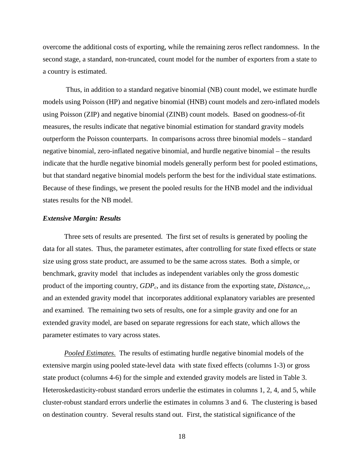overcome the additional costs of exporting, while the remaining zeros reflect randomness. In the second stage, a standard, non-truncated, count model for the number of exporters from a state to a country is estimated.

Thus, in addition to a standard negative binomial (NB) count model, we estimate hurdle models using Poisson (HP) and negative binomial (HNB) count models and zero-inflated models using Poisson (ZIP) and negative binomial (ZINB) count models. Based on goodness-of-fit measures, the results indicate that negative binomial estimation for standard gravity models outperform the Poisson counterparts. In comparisons across three binomial models – standard negative binomial, zero-inflated negative binomial, and hurdle negative binomial – the results indicate that the hurdle negative binomial models generally perform best for pooled estimations, but that standard negative binomial models perform the best for the individual state estimations. Because of these findings, we present the pooled results for the HNB model and the individual states results for the NB model.

#### *Extensive Margin: Results*

Three sets of results are presented. The first set of results is generated by pooling the data for all states. Thus, the parameter estimates, after controlling for state fixed effects or state size using gross state product, are assumed to be the same across states. Both a simple, or benchmark, gravity model that includes as independent variables only the gross domestic product of the importing country,  $GDP_c$ , and its distance from the exporting state,  $Distance_{sc}$ , and an extended gravity model that incorporates additional explanatory variables are presented and examined. The remaining two sets of results, one for a simple gravity and one for an extended gravity model, are based on separate regressions for each state, which allows the parameter estimates to vary across states.

*Pooled Estimates*. The results of estimating hurdle negative binomial models of the extensive margin using pooled state-level data with state fixed effects (columns 1-3) or gross state product (columns 4-6) for the simple and extended gravity models are listed in Table 3. Heteroskedasticity-robust standard errors underlie the estimates in columns 1, 2, 4, and 5, while cluster-robust standard errors underlie the estimates in columns 3 and 6. The clustering is based on destination country. Several results stand out. First, the statistical significance of the

18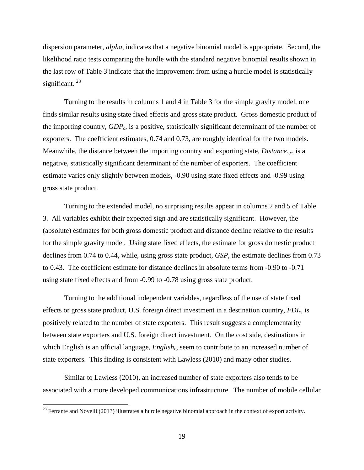dispersion parameter, *alpha*, indicates that a negative binomial model is appropriate. Second, the likelihood ratio tests comparing the hurdle with the standard negative binomial results shown in the last row of Table 3 indicate that the improvement from using a hurdle model is statistically significant.  $^{23}$  $^{23}$  $^{23}$ 

Turning to the results in columns 1 and 4 in Table 3 for the simple gravity model, one finds similar results using state fixed effects and gross state product. Gross domestic product of the importing country, *GDPc*, is a positive, statistically significant determinant of the number of exporters. The coefficient estimates, 0.74 and 0.73, are roughly identical for the two models. Meanwhile, the distance between the importing country and exporting state, *Distance<sub>s.c</sub>*, is a negative, statistically significant determinant of the number of exporters. The coefficient estimate varies only slightly between models, -0.90 using state fixed effects and -0.99 using gross state product.

Turning to the extended model, no surprising results appear in columns 2 and 5 of Table 3. All variables exhibit their expected sign and are statistically significant. However, the (absolute) estimates for both gross domestic product and distance decline relative to the results for the simple gravity model. Using state fixed effects, the estimate for gross domestic product declines from 0.74 to 0.44, while, using gross state product, *GSP*, the estimate declines from 0.73 to 0.43. The coefficient estimate for distance declines in absolute terms from -0.90 to -0.71 using state fixed effects and from -0.99 to -0.78 using gross state product.

Turning to the additional independent variables, regardless of the use of state fixed effects or gross state product, U.S. foreign direct investment in a destination country, *FDIc*, is positively related to the number of state exporters. This result suggests a complementarity between state exporters and U.S. foreign direct investment. On the cost side, destinations in which English is an official language, *English<sub>c</sub>*, seem to contribute to an increased number of state exporters. This finding is consistent with Lawless (2010) and many other studies.

Similar to Lawless (2010), an increased number of state exporters also tends to be associated with a more developed communications infrastructure. The number of mobile cellular

<span id="page-21-0"></span> $23$  Ferrante and Novelli (2013) illustrates a hurdle negative binomial approach in the context of export activity.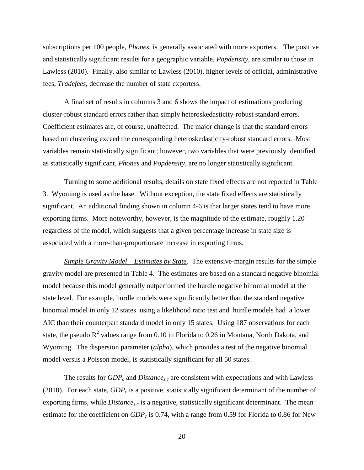subscriptions per 100 people, *Phones*, is generally associated with more exporters. The positive and statistically significant results for a geographic variable, *Popdensity*, are similar to those in Lawless (2010). Finally, also similar to Lawless (2010), higher levels of official, administrative fees, *Tradefees*, decrease the number of state exporters.

A final set of results in columns 3 and 6 shows the impact of estimations producing cluster-robust standard errors rather than simply heteroskedasticity-robust standard errors. Coefficient estimates are, of course, unaffected. The major change is that the standard errors based on clustering exceed the corresponding heteroskedasticity-robust standard errors. Most variables remain statistically significant; however, two variables that were previously identified as statistically significant, *Phones* and *Popdensity*, are no longer statistically significant.

Turning to some additional results, details on state fixed effects are not reported in Table 3. Wyoming is used as the base. Without exception, the state fixed effects are statistically significant. An additional finding shown in column 4-6 is that larger states tend to have more exporting firms. More noteworthy, however, is the magnitude of the estimate, roughly 1.20 regardless of the model, which suggests that a given percentage increase in state size is associated with a more-than-proportionate increase in exporting firms.

*Simple Gravity Model – Estimates by State.* The extensive-margin results for the simple gravity model are presented in Table 4. The estimates are based on a standard negative binomial model because this model generally outperformed the hurdle negative binomial model at the state level. For example, hurdle models were significantly better than the standard negative binomial model in only 12 states using a likelihood ratio test and hurdle models had a lower AIC than their counterpart standard model in only 15 states. Using 187 observations for each state, the pseudo  $R^2$  values range from 0.10 in Florida to 0.26 in Montana, North Dakota, and Wyoming. The dispersion parameter (*alpha*), which provides a test of the negative binomial model versus a Poisson model, is statistically significant for all 50 states.

The results for  $GDP_c$  and  $Distance_{s,c}$  are consistent with expectations and with Lawless (2010). For each state,  $GDP_c$  is a positive, statistically significant determinant of the number of exporting firms, while *Distance<sub>s,c</sub>* is a negative, statistically significant determinant. The mean estimate for the coefficient on  $GDP_c$  is 0.74, with a range from 0.59 for Florida to 0.86 for New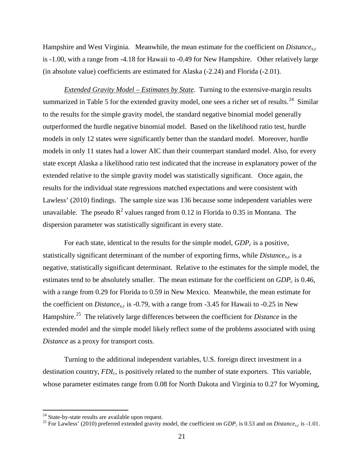Hampshire and West Virginia. Meanwhile, the mean estimate for the coefficient on *Distances,c* is -1.00, with a range from -4.18 for Hawaii to -0.49 for New Hampshire. Other relatively large (in absolute value) coefficients are estimated for Alaska (-2.24) and Florida (-2.01).

*Extended Gravity Model – Estimates by State.* Turning to the extensive-margin results summarized in Table 5 for the extended gravity model, one sees a richer set of results.<sup>[24](#page-23-0)</sup> Similar to the results for the simple gravity model, the standard negative binomial model generally outperformed the hurdle negative binomial model. Based on the likelihood ratio test, hurdle models in only 12 states were significantly better than the standard model. Moreover, hurdle models in only 11 states had a lower AIC than their counterpart standard model. Also, for every state except Alaska a likelihood ratio test indicated that the increase in explanatory power of the extended relative to the simple gravity model was statistically significant. Once again, the results for the individual state regressions matched expectations and were consistent with Lawless' (2010) findings. The sample size was 136 because some independent variables were unavailable. The pseudo  $R^2$  values ranged from 0.12 in Florida to 0.35 in Montana. The dispersion parameter was statistically significant in every state.

For each state, identical to the results for the simple model,  $GDP<sub>c</sub>$  is a positive, statistically significant determinant of the number of exporting firms, while *Distance<sub>s,c</sub>* is a negative, statistically significant determinant. Relative to the estimates for the simple model, the estimates tend to be absolutely smaller. The mean estimate for the coefficient on  $GDP_c$  is 0.46, with a range from 0.29 for Florida to 0.59 in New Mexico. Meanwhile, the mean estimate for the coefficient on *Distance<sub>s,c</sub>* is -0.79, with a range from -3.45 for Hawaii to -0.25 in New Hampshire.[25](#page-23-1) The relatively large differences between the coefficient for *Distance* in the extended model and the simple model likely reflect some of the problems associated with using *Distance* as a proxy for transport costs.

Turning to the additional independent variables, U.S. foreign direct investment in a destination country,  $FDI_c$ , is positively related to the number of state exporters. This variable, whose parameter estimates range from 0.08 for North Dakota and Virginia to 0.27 for Wyoming,

<span id="page-23-1"></span><span id="page-23-0"></span><sup>&</sup>lt;sup>24</sup> State-by-state results are available upon request.<br><sup>25</sup> For Lawless' (2010) preferred extended gravity model, the coefficient on *GDP<sub>c</sub>* is 0.53 and on *Distance<sub>s,c</sub>* is -1.01.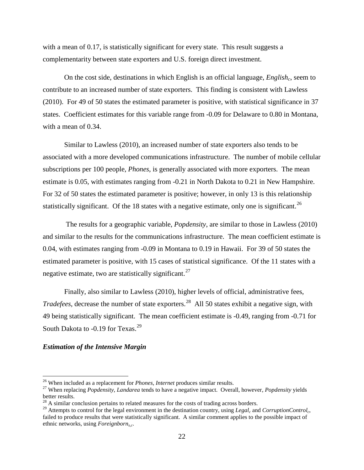with a mean of 0.17, is statistically significant for every state. This result suggests a complementarity between state exporters and U.S. foreign direct investment.

On the cost side, destinations in which English is an official language, *English<sub>c</sub>*, seem to contribute to an increased number of state exporters. This finding is consistent with Lawless (2010). For 49 of 50 states the estimated parameter is positive, with statistical significance in 37 states. Coefficient estimates for this variable range from -0.09 for Delaware to 0.80 in Montana, with a mean of 0.34.

Similar to Lawless (2010), an increased number of state exporters also tends to be associated with a more developed communications infrastructure. The number of mobile cellular subscriptions per 100 people, *Phones*, is generally associated with more exporters. The mean estimate is 0.05, with estimates ranging from -0.21 in North Dakota to 0.21 in New Hampshire. For 32 of 50 states the estimated parameter is positive; however, in only 13 is this relationship statistically significant. Of the 18 states with a negative estimate, only one is significant.<sup>[26](#page-24-0)</sup>

The results for a geographic variable, *Popdensity*, are similar to those in Lawless (2010) and similar to the results for the communications infrastructure. The mean coefficient estimate is 0.04, with estimates ranging from -0.09 in Montana to 0.19 in Hawaii. For 39 of 50 states the estimated parameter is positive, with 15 cases of statistical significance. Of the 11 states with a negative estimate, two are statistically significant.<sup>[27](#page-24-1)</sup>

Finally, also similar to Lawless (2010), higher levels of official, administrative fees, *Tradefees*, decrease the number of state exporters.<sup>[28](#page-24-2)</sup> All 50 states exhibit a negative sign, with 49 being statistically significant. The mean coefficient estimate is -0.49, ranging from -0.71 for South Dakota to -0.19 for Texas.<sup>[29](#page-24-3)</sup>

#### *Estimation of the Intensive Margin*

<span id="page-24-1"></span><span id="page-24-0"></span><sup>&</sup>lt;sup>26</sup> When included as a replacement for *Phones, Internet* produces similar results.<br><sup>27</sup> When replacing *Popdensity, Landarea* tends to have a negative impact. Overall, however, *Popdensity* yields better results.

<span id="page-24-2"></span> $^{28}$  A similar conclusion pertains to related measures for the costs of trading across borders.

<span id="page-24-3"></span><sup>&</sup>lt;sup>29</sup> Attempts to control for the legal environment in the destination country, using  $Legal_c$  and  $CorruptionControl_c$ , failed to produce results that were statistically significant. A similar comment applies to the possible impact of ethnic networks, using *Foreignborns,c*.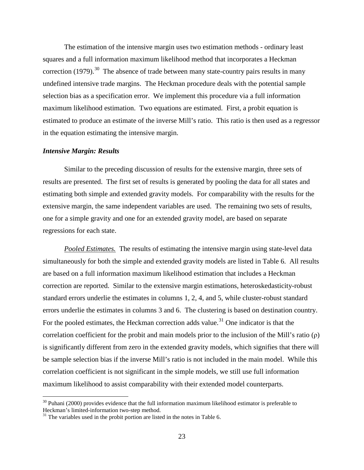The estimation of the intensive margin uses two estimation methods - ordinary least squares and a full information maximum likelihood method that incorporates a Heckman correction (1979).<sup>[30](#page-25-0)</sup> The absence of trade between many state-country pairs results in many undefined intensive trade margins. The Heckman procedure deals with the potential sample selection bias as a specification error. We implement this procedure via a full information maximum likelihood estimation. Two equations are estimated. First, a probit equation is estimated to produce an estimate of the inverse Mill's ratio. This ratio is then used as a regressor in the equation estimating the intensive margin.

#### *Intensive Margin: Results*

Similar to the preceding discussion of results for the extensive margin, three sets of results are presented. The first set of results is generated by pooling the data for all states and estimating both simple and extended gravity models. For comparability with the results for the extensive margin, the same independent variables are used. The remaining two sets of results, one for a simple gravity and one for an extended gravity model, are based on separate regressions for each state.

*Pooled Estimates.* The results of estimating the intensive margin using state-level data simultaneously for both the simple and extended gravity models are listed in Table 6. All results are based on a full information maximum likelihood estimation that includes a Heckman correction are reported. Similar to the extensive margin estimations, heteroskedasticity-robust standard errors underlie the estimates in columns 1, 2, 4, and 5, while cluster-robust standard errors underlie the estimates in columns 3 and 6. The clustering is based on destination country. For the pooled estimates, the Heckman correction adds value.<sup>[31](#page-25-1)</sup> One indicator is that the correlation coefficient for the probit and main models prior to the inclusion of the Mill's ratio (ρ) is significantly different from zero in the extended gravity models, which signifies that there will be sample selection bias if the inverse Mill's ratio is not included in the main model. While this correlation coefficient is not significant in the simple models, we still use full information maximum likelihood to assist comparability with their extended model counterparts.

<span id="page-25-0"></span> $30$  Puhani (2000) provides evidence that the full information maximum likelihood estimator is preferable to Heckman's limited-information two-step method.<br><sup>31</sup> The variables used in the probit portion are listed in the notes in Table 6.

<span id="page-25-1"></span>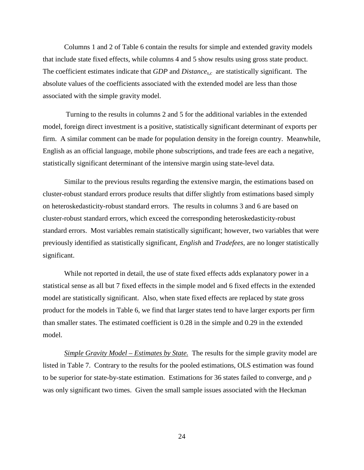Columns 1 and 2 of Table 6 contain the results for simple and extended gravity models that include state fixed effects, while columns 4 and 5 show results using gross state product. The coefficient estimates indicate that *GDP* and *Distances,c* are statistically significant. The absolute values of the coefficients associated with the extended model are less than those associated with the simple gravity model.

Turning to the results in columns 2 and 5 for the additional variables in the extended model, foreign direct investment is a positive, statistically significant determinant of exports per firm. A similar comment can be made for population density in the foreign country. Meanwhile, English as an official language, mobile phone subscriptions, and trade fees are each a negative, statistically significant determinant of the intensive margin using state-level data.

Similar to the previous results regarding the extensive margin, the estimations based on cluster-robust standard errors produce results that differ slightly from estimations based simply on heteroskedasticity-robust standard errors. The results in columns 3 and 6 are based on cluster-robust standard errors, which exceed the corresponding heteroskedasticity-robust standard errors. Most variables remain statistically significant; however, two variables that were previously identified as statistically significant, *English* and *Tradefees*, are no longer statistically significant.

While not reported in detail, the use of state fixed effects adds explanatory power in a statistical sense as all but 7 fixed effects in the simple model and 6 fixed effects in the extended model are statistically significant. Also, when state fixed effects are replaced by state gross product for the models in Table 6, we find that larger states tend to have larger exports per firm than smaller states. The estimated coefficient is 0.28 in the simple and 0.29 in the extended model.

*Simple Gravity Model – Estimates by State.*The results for the simple gravity model are listed in Table 7. Contrary to the results for the pooled estimations, OLS estimation was found to be superior for state-by-state estimation. Estimations for 36 states failed to converge, and ρ was only significant two times. Given the small sample issues associated with the Heckman

24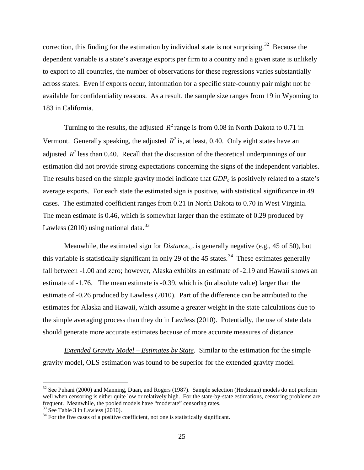correction, this finding for the estimation by individual state is not surprising.[32](#page-27-0)Because the dependent variable is a state's average exports per firm to a country and a given state is unlikely to export to all countries, the number of observations for these regressions varies substantially across states. Even if exports occur, information for a specific state-country pair might not be available for confidentiality reasons. As a result, the sample size ranges from 19 in Wyoming to 183 in California.

Turning to the results, the adjusted  $R^2$  range is from 0.08 in North Dakota to 0.71 in Vermont. Generally speaking, the adjusted  $R^2$  is, at least, 0.40. Only eight states have an adjusted  $R^2$  less than 0.40. Recall that the discussion of the theoretical underpinnings of our estimation did not provide strong expectations concerning the signs of the independent variables. The results based on the simple gravity model indicate that  $GDP_c$  is positively related to a state's average exports. For each state the estimated sign is positive, with statistical significance in 49 cases. The estimated coefficient ranges from 0.21 in North Dakota to 0.70 in West Virginia. The mean estimate is 0.46, which is somewhat larger than the estimate of 0.29 produced by Lawless (2010) using national data. $33$ 

Meanwhile, the estimated sign for *Distances,c* is generally negative (e.g., 45 of 50), but this variable is statistically significant in only 29 of the 45 states.<sup>[34](#page-27-2)</sup> These estimates generally fall between -1.00 and zero; however, Alaska exhibits an estimate of -2.19 and Hawaii shows an estimate of -1.76. The mean estimate is -0.39, which is (in absolute value) larger than the estimate of -0.26 produced by Lawless (2010). Part of the difference can be attributed to the estimates for Alaska and Hawaii, which assume a greater weight in the state calculations due to the simple averaging process than they do in Lawless (2010). Potentially, the use of state data should generate more accurate estimates because of more accurate measures of distance.

*Extended Gravity Model – Estimates by State.*Similar to the estimation for the simple gravity model, OLS estimation was found to be superior for the extended gravity model.

<span id="page-27-0"></span> $32$  See Puhani (2000) and Manning, Duan, and Rogers (1987). Sample selection (Heckman) models do not perform well when censoring is either quite low or relatively high. For the state-by-state estimations, censoring problems are frequent. Meanwhile, the pooled models have "moderate" censoring rates.<br><sup>33</sup> See Table 3 in Lawless (2010).

<span id="page-27-2"></span><span id="page-27-1"></span> $34$  For the five cases of a positive coefficient, not one is statistically significant.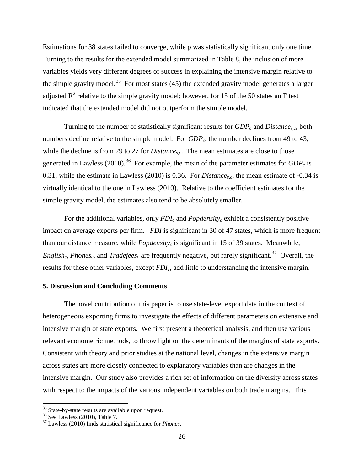Estimations for 38 states failed to converge, while ρ was statistically significant only one time. Turning to the results for the extended model summarized in Table 8, the inclusion of more variables yields very different degrees of success in explaining the intensive margin relative to the simple gravity model.<sup>[35](#page-28-0)</sup> For most states (45) the extended gravity model generates a larger adjusted  $\mathbb{R}^2$  relative to the simple gravity model; however, for 15 of the 50 states an F test indicated that the extended model did not outperform the simple model.

Turning to the number of statistically significant results for  $GDP_c$  and *Distance<sub>s.c</sub>*, both numbers decline relative to the simple model. For  $GDP_c$ , the number declines from 49 to 43, while the decline is from 29 to 27 for *Distance<sub>s.c</sub>*. The mean estimates are close to those generated in Lawless (2010).<sup>36</sup> For example, the mean of the parameter estimates for  $GDP_c$  is 0.31, while the estimate in Lawless (2010) is 0.36. For *Distances,c*, the mean estimate of -0.34 is virtually identical to the one in Lawless (2010). Relative to the coefficient estimates for the simple gravity model, the estimates also tend to be absolutely smaller.

For the additional variables, only  $FDI_c$  and  $Popdensity_c$  exhibit a consistently positive impact on average exports per firm. *FDI* is significant in 30 of 47 states, which is more frequent than our distance measure, while *Popdensity<sub>c</sub>* is significant in 15 of 39 states. Meanwhile, *English<sub>c</sub>, Phones<sub>c</sub>*, and *Tradefees<sub>c</sub>* are frequently negative, but rarely significant.<sup>37</sup> Overall, the results for these other variables, except *FDIc*, add little to understanding the intensive margin.

#### **5. Discussion and Concluding Comments**

The novel contribution of this paper is to use state-level export data in the context of heterogeneous exporting firms to investigate the effects of different parameters on extensive and intensive margin of state exports. We first present a theoretical analysis, and then use various relevant econometric methods, to throw light on the determinants of the margins of state exports. Consistent with theory and prior studies at the national level, changes in the extensive margin across states are more closely connected to explanatory variables than are changes in the intensive margin. Our study also provides a rich set of information on the diversity across states with respect to the impacts of the various independent variables on both trade margins. This

<span id="page-28-2"></span><span id="page-28-1"></span>

<span id="page-28-0"></span><sup>&</sup>lt;sup>35</sup> State-by-state results are available upon request.<br><sup>36</sup> See Lawless (2010), Table 7.<br><sup>37</sup> Lawless (2010) finds statistical significance for *Phones*.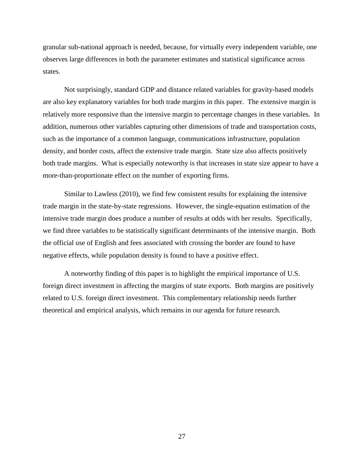granular sub-national approach is needed, because, for virtually every independent variable, one observes large differences in both the parameter estimates and statistical significance across states.

Not surprisingly, standard GDP and distance related variables for gravity-based models are also key explanatory variables for both trade margins in this paper. The extensive margin is relatively more responsive than the intensive margin to percentage changes in these variables. In addition, numerous other variables capturing other dimensions of trade and transportation costs, such as the importance of a common language, communications infrastructure, population density, and border costs, affect the extensive trade margin. State size also affects positively both trade margins. What is especially noteworthy is that increases in state size appear to have a more-than-proportionate effect on the number of exporting firms.

Similar to Lawless (2010), we find few consistent results for explaining the intensive trade margin in the state-by-state regressions. However, the single-equation estimation of the intensive trade margin does produce a number of results at odds with her results. Specifically, we find three variables to be statistically significant determinants of the intensive margin. Both the official use of English and fees associated with crossing the border are found to have negative effects, while population density is found to have a positive effect.

A noteworthy finding of this paper is to highlight the empirical importance of U.S. foreign direct investment in affecting the margins of state exports. Both margins are positively related to U.S. foreign direct investment. This complementary relationship needs further theoretical and empirical analysis, which remains in our agenda for future research.

27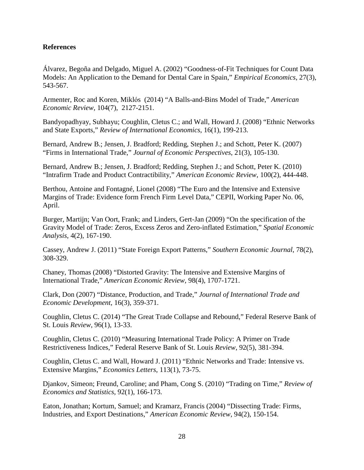#### **References**

Álvarez, Begoña and Delgado, Miguel A. (2002) "Goodness-of-Fit Techniques for Count Data Models: An Application to the Demand for Dental Care in Spain," *Empirical Economics*, 27(3), 543-567.

Armenter, Roc and Koren, Miklόs (2014) "A Balls-and-Bins Model of Trade," *American Economic Review*, 104(7), 2127-2151.

Bandyopadhyay, Subhayu; Coughlin, Cletus C.; and Wall, Howard J. (2008) "Ethnic Networks and State Exports," *Review of International Economics*, 16(1), 199-213.

Bernard, Andrew B.; Jensen, J. Bradford; Redding, Stephen J.; and Schott, Peter K. (2007) "Firms in International Trade," *Journal of Economic Perspectives*, 21(3), 105-130.

Bernard, Andrew B.; Jensen, J. Bradford; Redding, Stephen J.; and Schott, Peter K. (2010) "Intrafirm Trade and Product Contractibility," *American Economic Review*, 100(2), 444-448.

Berthou, Antoine and Fontagné, Lionel (2008) "The Euro and the Intensive and Extensive Margins of Trade: Evidence form French Firm Level Data," CEPII, Working Paper No. 06, April.

Burger, Martijn; Van Oort, Frank; and Linders, Gert-Jan (2009) "On the specification of the Gravity Model of Trade: Zeros, Excess Zeros and Zero-inflated Estimation," *Spatial Economic Analysis*, 4(2), 167-190.

Cassey, Andrew J. (2011) "State Foreign Export Patterns," *Southern Economic Journal*, 78(2), 308-329.

Chaney, Thomas (2008) "Distorted Gravity: The Intensive and Extensive Margins of International Trade," *American Economic Review*, 98(4), 1707-1721.

Clark, Don (2007) "Distance, Production, and Trade," *Journal of International Trade and Economic Development*, 16(3), 359-371.

Coughlin, Cletus C. (2014) "The Great Trade Collapse and Rebound," Federal Reserve Bank of St. Louis *Review*, 96(1), 13-33.

Coughlin, Cletus C. (2010) "Measuring International Trade Policy: A Primer on Trade Restrictiveness Indices," Federal Reserve Bank of St. Louis *Review*, 92(5), 381-394.

Coughlin, Cletus C. and Wall, Howard J. (2011) "Ethnic Networks and Trade: Intensive vs. Extensive Margins," *Economics Letters*, 113(1), 73-75.

Djankov, Simeon; Freund, Caroline; and Pham, Cong S. (2010) "Trading on Time," *Review of Economics and Statistics*, 92(1), 166-173.

Eaton, Jonathan; Kortum, Samuel; and Kramarz, Francis (2004) "Dissecting Trade: Firms, Industries, and Export Destinations," *American Economic Review*, 94(2), 150-154.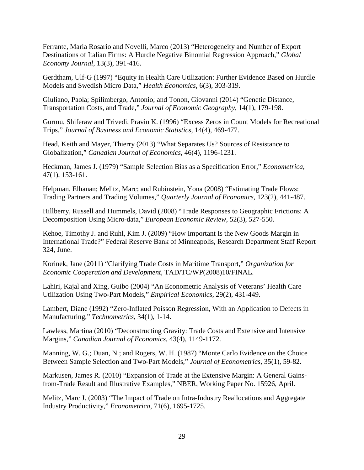Ferrante, Maria Rosario and Novelli, Marco (2013) "Heterogeneity and Number of Export Destinations of Italian Firms: A Hurdle Negative Binomial Regression Approach," *Global Economy Journal*, 13(3), 391-416.

Gerdtham, Ulf-G (1997) "Equity in Health Care Utilization: Further Evidence Based on Hurdle Models and Swedish Micro Data," *Health Economics*, 6(3), 303-319.

Giuliano, Paola; Spilimbergo, Antonio; and Tonon, Giovanni (2014) "Genetic Distance, Transportation Costs, and Trade," *Journal of Economic Geography*, 14(1), 179-198.

Gurmu, Shiferaw and Trivedi, Pravin K. (1996) "Excess Zeros in Count Models for Recreational Trips," *Journal of Business and Economic Statistics*, 14(4), 469-477.

Head, Keith and Mayer, Thierry (2013) "What Separates Us? Sources of Resistance to Globalization," *Canadian Journal of Economics*, 46(4), 1196-1231.

Heckman, James J. (1979) "Sample Selection Bias as a Specification Error," *Econometrica*, 47(1), 153-161.

Helpman, Elhanan; Melitz, Marc; and Rubinstein, Yona (2008) "Estimating Trade Flows: Trading Partners and Trading Volumes," *Quarterly Journal of Economics*, 123(2), 441-487.

Hillberry, Russell and Hummels, David (2008) "Trade Responses to Geographic Frictions: A Decomposition Using Micro-data," *European Economic Review*, 52(3), 527-550.

Kehoe, Timothy J. and Ruhl, Kim J. (2009) "How Important Is the New Goods Margin in International Trade?" Federal Reserve Bank of Minneapolis, Research Department Staff Report 324, June.

Korinek, Jane (2011) "Clarifying Trade Costs in Maritime Transport," *Organization for Economic Cooperation and Development*, TAD/TC/WP(2008)10/FINAL.

Lahiri, Kajal and Xing, Guibo (2004) "An Econometric Analysis of Veterans' Health Care Utilization Using Two-Part Models," *Empirical Economics*, 29(2), 431-449.

Lambert, Diane (1992) "Zero-Inflated Poisson Regression, With an Application to Defects in Manufacturing," *Technometrics*, 34(1), 1-14.

Lawless, Martina (2010) "Deconstructing Gravity: Trade Costs and Extensive and Intensive Margins," *Canadian Journal of Economics*, 43(4), 1149-1172.

Manning, W. G.; Duan, N.; and Rogers, W. H. (1987) "Monte Carlo Evidence on the Choice Between Sample Selection and Two-Part Models," *Journal of Econometrics*, 35(1), 59-82.

Markusen, James R. (2010) "Expansion of Trade at the Extensive Margin: A General Gainsfrom-Trade Result and Illustrative Examples," NBER, Working Paper No. 15926, April.

Melitz, Marc J. (2003) "The Impact of Trade on Intra-Industry Reallocations and Aggregate Industry Productivity," *Econometrica*, 71(6), 1695-1725.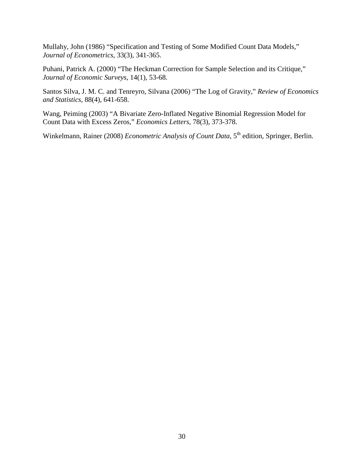Mullahy, John (1986) "Specification and Testing of Some Modified Count Data Models," *Journal of Econometrics*, 33(3), 341-365.

Puhani, Patrick A. (2000) "The Heckman Correction for Sample Selection and its Critique," *Journal of Economic Surveys*, 14(1), 53-68.

Santos Silva, J. M. C. and Tenreyro, Silvana (2006) "The Log of Gravity," *Review of Economics and Statistics*, 88(4), 641-658.

Wang, Peiming (2003) "A Bivariate Zero-Inflated Negative Binomial Regression Model for Count Data with Excess Zeros," *Economics Letters*, 78(3), 373-378.

Winkelmann, Rainer (2008) *Econometric Analysis of Count Data*, 5<sup>th</sup> edition, Springer, Berlin.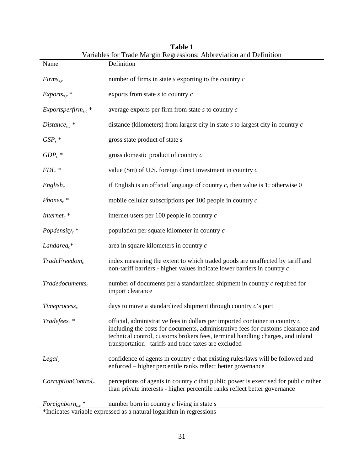| Name                               | variables for Trade Margin Regressions: Abbreviation and Definition<br>Definition                                                                                                                                                                                                                           |
|------------------------------------|-------------------------------------------------------------------------------------------------------------------------------------------------------------------------------------------------------------------------------------------------------------------------------------------------------------|
| $Firms_{s,c}$                      | number of firms in state $s$ exporting to the country $c$                                                                                                                                                                                                                                                   |
| $Exports_{s,c}$ *                  | exports from state $s$ to country $c$                                                                                                                                                                                                                                                                       |
| $Exportsperform_{s.c}$ *           | average exports per firm from state $s$ to country $c$                                                                                                                                                                                                                                                      |
| Distance <sub>s.c</sub> $*$        | distance (kilometers) from largest city in state $s$ to largest city in country $c$                                                                                                                                                                                                                         |
| $GSP_s$ *                          | gross state product of state s                                                                                                                                                                                                                                                                              |
| $GDP_c$ *                          | gross domestic product of country $c$                                                                                                                                                                                                                                                                       |
| $FDI_c$ *                          | value (\$m) of U.S. foreign direct investment in country $c$                                                                                                                                                                                                                                                |
| $English_c$                        | if English is an official language of country $c$ , then value is 1; otherwise 0                                                                                                                                                                                                                            |
| Phones <sub>c</sub> $*$            | mobile cellular subscriptions per 100 people in country $c$                                                                                                                                                                                                                                                 |
| Internet <sub>c</sub> <sup>*</sup> | internet users per $100$ people in country $c$                                                                                                                                                                                                                                                              |
| Popdensity $_c$ *                  | population per square kilometer in country c                                                                                                                                                                                                                                                                |
| Landare $a_c^*$                    | area in square kilometers in country $c$                                                                                                                                                                                                                                                                    |
| Trade Freedom <sub>c</sub>         | index measuring the extent to which traded goods are unaffected by tariff and<br>non-tariff barriers - higher values indicate lower barriers in country c                                                                                                                                                   |
| $Trade documents_c$                | number of documents per a standardized shipment in country $c$ required for<br>import clearance                                                                                                                                                                                                             |
| Time process <sub>c</sub>          | days to move a standardized shipment through country $c$ 's port                                                                                                                                                                                                                                            |
| $Tradefees_c *$                    | official, administrative fees in dollars per imported container in country c<br>including the costs for documents, administrative fees for customs clearance and<br>technical control, customs brokers fees, terminal handling charges, and inland<br>transportation - tariffs and trade taxes are excluded |
| $Legal_c$                          | confidence of agents in country $c$ that existing rules/laws will be followed and<br>enforced – higher percentile ranks reflect better governance                                                                                                                                                           |
| CorruptionControl <sub>c</sub>     | perceptions of agents in country $c$ that public power is exercised for public rather<br>than private interests - higher percentile ranks reflect better governance                                                                                                                                         |
|                                    | Foreignborn <sub>s,c</sub> * number born in country c living in state s<br>*Indicates variable expressed as a natural logarithm in regressions                                                                                                                                                              |

|  | Table 1 |                                                                     |
|--|---------|---------------------------------------------------------------------|
|  |         | Variables for Trade Margin Regressions: Abbreviation and Definition |

\*Indicates variable expressed as a natural logarithm in regressions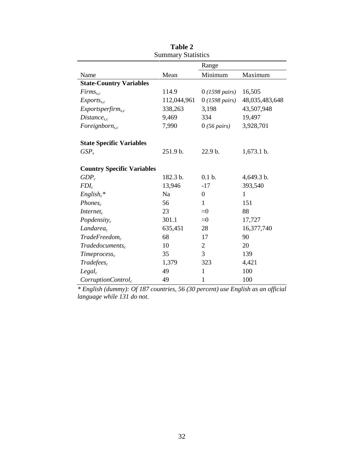|                                   |             | Range                   |                |
|-----------------------------------|-------------|-------------------------|----------------|
| Name                              | Mean        | Minimum                 | Maximum        |
| <b>State-Country Variables</b>    |             |                         |                |
| $Firms_{sc}$                      | 114.9       | $0(1598 \text{ pairs})$ | 16,505         |
| $Exports_{s.c}$                   | 112,044,961 | $0(1598 \text{ pairs})$ | 48,035,483,648 |
| $Exportsperform_{s,c}$            | 338,263     | 3,198                   | 43,507,948     |
| $Distance_{s,c}$                  | 9,469       | 334                     | 19,497         |
| $\textit{Foreign}$                | 7,990       | $0(56 \text{ pairs})$   | 3,928,701      |
| <b>State Specific Variables</b>   |             |                         |                |
| GSP <sub>s</sub>                  | 251.9 b.    | 22.9 b.                 | 1,673.1 b.     |
| <b>Country Specific Variables</b> |             |                         |                |
| $GDP_c$                           | 182.3 b.    | $0.1b$ .                | 4,649.3 b.     |
| $FDI_c$                           | 13,946      | $-17$                   | 393,540        |
| $English_c*$                      | Na          | $\boldsymbol{0}$        | 1              |
| Phones <sub>c</sub>               | 56          | $\mathbf{1}$            | 151            |
| Internet $_{c}$                   | 23          | $\approx 0$             | 88             |
| Popdensity <sub>c</sub>           | 301.1       | $\approx\!\!0$          | 17,727         |
| Landarea <sub>c</sub>             | 635,451     | 28                      | 16,377,740     |
| $Trade Freedom_c$                 | 68          | 17                      | 90             |
| $Trade documents_c$               | 10          | $\overline{c}$          | 20             |
| Time process <sub>c</sub>         | 35          | 3                       | 139            |
| $Tradefees_c$                     | 1,379       | 323                     | 4,421          |
| $Legal_c$                         | 49          | 1                       | 100            |
| CorruptionControl <sub>c</sub>    | 49          | 1                       | 100            |

**Table 2** Summary Statistics

*\* English (dummy): Of 187 countries, 56 (30 percent) use English as an official language while 131 do not.*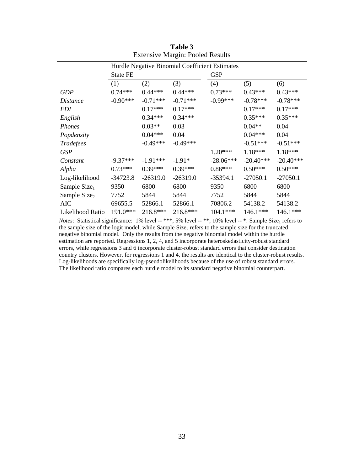|                          | Hurdle Negative Binomial Coefficient Estimates |            |            |             |             |             |
|--------------------------|------------------------------------------------|------------|------------|-------------|-------------|-------------|
|                          | <b>State FE</b>                                |            |            | <b>GSP</b>  |             |             |
|                          | (1)                                            | (2)        | (3)        | (4)         | (5)         | (6)         |
| <b>GDP</b>               | $0.74***$                                      | $0.44***$  | $0.44***$  | $0.73***$   | $0.43***$   | $0.43***$   |
| <i>Distance</i>          | $-0.90***$                                     | $-0.71***$ | $-0.71***$ | $-0.99***$  | $-0.78***$  | $-0.78***$  |
| <i>FDI</i>               |                                                | $0.17***$  | $0.17***$  |             | $0.17***$   | $0.17***$   |
| English                  |                                                | $0.34***$  | $0.34***$  |             | $0.35***$   | $0.35***$   |
| Phones                   |                                                | $0.03**$   | 0.03       |             | $0.04**$    | 0.04        |
| Popdensity               |                                                | $0.04***$  | 0.04       |             | $0.04***$   | 0.04        |
| Tradefees                |                                                | $-0.49***$ | $-0.49***$ |             | $-0.51***$  | $-0.51***$  |
| <b>GSP</b>               |                                                |            |            | $1.20***$   | $1.18***$   | 1.18***     |
| Constant                 | $-9.37***$                                     | $-1.91***$ | $-1.91*$   | $-28.06***$ | $-20.40***$ | $-20.40***$ |
| Alpha                    | $0.73***$                                      | $0.39***$  | $0.39***$  | $0.86***$   | $0.50***$   | $0.50***$   |
| Log-likelihood           | $-34723.8$                                     | $-26319.0$ | $-26319.0$ | $-35394.1$  | $-27050.1$  | $-27050.1$  |
| Sample $Size1$           | 9350                                           | 6800       | 6800       | 9350        | 6800        | 6800        |
| Sample Size <sub>2</sub> | 7752                                           | 5844       | 5844       | 7752        | 5844        | 5844        |
| AIC                      | 69655.5                                        | 52866.1    | 52866.1    | 70806.2     | 54138.2     | 54138.2     |
| Likelihood Ratio         | 191.0***                                       | $216.8***$ | 216.8***   | $104.1***$  | $146.1***$  | $146.1***$  |

| Table 3                                 |  |  |  |  |  |
|-----------------------------------------|--|--|--|--|--|
| <b>Extensive Margin: Pooled Results</b> |  |  |  |  |  |

*Notes*: Statistical significance: 1% level -- \*\*\*; 5% level -- \*\*; 10% level -- \*. Sample Size<sub>1</sub> refers to the sample size of the logit model, while Sample Size<sub>2</sub> refers to the sample size for the truncated negative binomial model. Only the results from the negative binomial model within the hurdle estimation are reported. Regressions 1, 2, 4, and 5 incorporate heteroskedasticity-robust standard errors, while regressions 3 and 6 incorporate cluster-robust standard errors that consider destination country clusters. However, for regressions 1 and 4, the results are identical to the cluster-robust results. Log-likelihoods are specifically log-pseudolikelihoods because of the use of robust standard errors. The likelihood ratio compares each hurdle model to its standard negative binomial counterpart.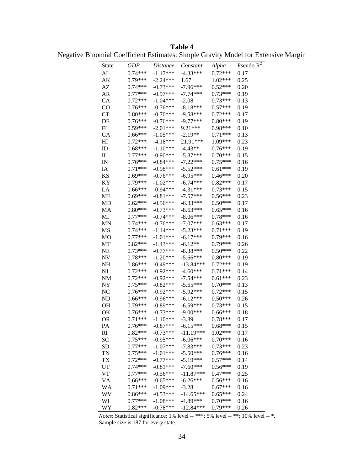**Table 4** Negative Binomial Coefficient Estimates: Simple Gravity Model for Extensive Margin

| State           | <b>GDP</b>             | Distance                 | Constant                 | Alpha                  | Pseudo $\overline{R^2}$ |
|-----------------|------------------------|--------------------------|--------------------------|------------------------|-------------------------|
| AL              | $0.74***$              | $-1.17***$               | $-4.33***$               | $0.72***$              | 0.17                    |
| AK              | $0.79***$              | $-2.24***$               | 1.67                     | $1.02***$              | 0.25                    |
| AZ              | $0.74***$              | $-0.73***$               | $-7.96***$               | $0.52***$              | 0.20                    |
| AR              | $0.77***$              | $-0.97***$               | $-7.74***$               | $0.73***$              | 0.19                    |
| CA              | $0.72***$              | $-1.04***$               | $-2.08$                  | $0.73***$              | 0.13                    |
| $\rm CO$        | $0.76***$              | $-0.76***$               | $-8.18***$               | $0.57***$              | 0.19                    |
| CT              | $0.80***$              | $-0.70***$               | $-9.58***$               | $0.72***$              | 0.17                    |
| DE              | $0.76***$              | $-0.76***$               | $-9.77***$               | $0.80***$              | 0.19                    |
| FL              | $0.59***$              | $-2.01***$               | $9.21***$                | $0.98***$              | 0.10                    |
| GA              | $0.66***$              | $-1.05***$               | $-2.19**$                | $0.71***$              | 0.13                    |
| HI              | $0.72***$              | $-4.18***$               | 21.91***                 | 1.09***                | 0.23                    |
| ID              | $0.68***$              | $-1.10***$               | $-4.43**$                | $0.76***$              | 0.19                    |
| IL              | $0.77***$              | $-0.90***$               | $-5.87***$               | $0.70***$              | 0.15                    |
| IN              | $0.76***$              | $-0.84***$               | $-7.22***$               | $0.75***$              | 0.16                    |
| IA              | $0.71***$              | $-0.98***$               | $-5.52***$               | $0.61***$              | 0.19                    |
| <b>KS</b>       | $0.69***$              | $-0.76***$               | $-6.95***$               | $0.46***$              | 0.20                    |
| KY              | $0.79***$              | $-1.02***$               | $-6.74***$               | $0.82***$              | 0.17                    |
| LA              | $0.66***$              | $-0.94***$               | $-4.31***$               | $0.73***$              | 0.15                    |
| ME              | $0.69***$              | $-0.81***$               | $-7.57***$               | $0.56***$              | 0.23                    |
| <b>MD</b>       | $0.62***$              | $-0.56***$               | $-6.33***$               | $0.50***$              | 0.17                    |
| MA              | $0.80***$              | $-0.73***$               | $-8.63***$               | $0.65***$              | 0.16                    |
| MI              | $0.77***$              | $-0.74***$               | $-8.06***$               | $0.78***$              | 0.16                    |
| <b>MN</b>       | $0.74***$              | $-0.76***$               | $-7.07***$               | $0.63***$              | 0.17                    |
| MS              | $0.74***$              | $-1.14***$               | $-5.23***$               | $0.71***$              | 0.19                    |
| MO              | $0.77***$              | $-1.01***$               | $-6.17***$               | $0.79***$              | 0.16                    |
| MT              | $0.82***$              | $-1.43***$               | $-6.12**$                | $0.79***$              | 0.26                    |
| NE              | $0.73***$              | $-0.77***$               | $-8.38***$               | $0.50***$              | 0.22                    |
| NV              | $0.78***$              | $-1.20***$               | $-5.66***$               | $0.80***$              | 0.19                    |
| NH              | $0.86***$              | $-0.49***$               | $-13.84***$              | $0.72***$              | 0.19                    |
| NJ              | $0.72***$              | $-0.92***$               | $-4.60***$               | $0.71***$              | 0.14                    |
| NM              | $0.72***$              | $-0.92***$               | $-7.54***$               | $0.61***$              | 0.23                    |
| NY              | $0.75***$              | $-0.82***$               | $-5.65***$               | $0.70***$              | 0.13                    |
| NC              | $0.76***$              | $-0.92***$               | $-5.92***$               | $0.72***$              | 0.15                    |
| ND              | $0.66***$              | $-0.96***$               | $-6.12***$               | $0.50***$              | 0.26                    |
|                 |                        | $-0.89***$               | $-6.59***$               | $0.73***$              |                         |
| OН<br>OK        | $0.79***$<br>$0.76***$ | $-0.73***$               | $-9.00***$               | $0.66***$              | 0.15<br>0.18            |
|                 |                        |                          |                          | $0.78***$              | 0.17                    |
| <b>OR</b>       | $0.71***$<br>$0.76***$ | $-1.10***$               | $-3.89$<br>$-6.15***$    | $0.68***$              |                         |
| PA              | $0.82***$              | $-0.87***$<br>$-0.73***$ | $-11.19***$              | $1.02***$              | 0.15<br>0.17            |
| RI<br><b>SC</b> | $0.75***$              |                          | $-6.06***$               |                        |                         |
|                 |                        | $-0.95***$<br>$-1.07***$ |                          | $0.70***$<br>$0.73***$ | 0.16<br>0.23            |
| <b>SD</b>       | $0.77***$<br>$0.75***$ | $-1.01***$               | $-7.83***$<br>$-5.50***$ | $0.76***$              | 0.16                    |
| TN              |                        |                          |                          |                        |                         |
| <b>TX</b>       | $0.72***$              | $-0.77***$               | $-5.19***$               | $0.57***$              | 0.14                    |
| UT              | $0.74***$              | $-0.81***$               | $-7.60***$               | $0.56***$              | 0.19                    |
| <b>VT</b>       | $0.77***$              | $-0.56***$               | $-11.87***$              | $0.47***$              | 0.25                    |
| <b>VA</b>       | $0.66***$              | $-0.65***$               | $-6.26***$               | $0.56***$              | 0.16                    |
| WA              | $0.71***$              | $-1.09***$               | $-3.28$                  | $0.67***$              | 0.16                    |
| WV              | $0.86***$              | $-0.53***$               | $-14.65***$              | $0.65***$              | 0.24                    |
| WI              | $0.77***$              | $-1.08***$               | $-4.89***$               | $0.70***$              | 0.16                    |
| <b>WY</b>       | $0.82***$              | $-0.78***$               | $-12.84***$              | $0.79***$              | 0.26                    |

*Notes*: Statistical significance: 1% level -- \*\*\*; 5% level -- \*\*; 10% level -- \*. Sample size is 187 for every state.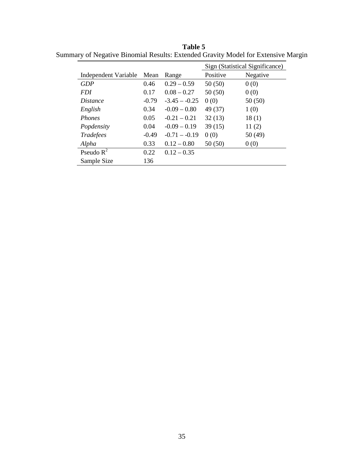**Table 5** Summary of Negative Binomial Results: Extended Gravity Model for Extensive Margin

|                      |         |                 | Sign (Statistical Significance) |          |
|----------------------|---------|-----------------|---------------------------------|----------|
| Independent Variable | Mean    | Range           | Positive                        | Negative |
| GDP                  | 0.46    | $0.29 - 0.59$   | 50(50)                          | 0(0)     |
| <i>FDI</i>           | 0.17    | $0.08 - 0.27$   | 50(50)                          | 0(0)     |
| <i>Distance</i>      | $-0.79$ | $-3.45 - -0.25$ | 0(0)                            | 50(50)   |
| English              | 0.34    | $-0.09 - 0.80$  | 49 (37)                         | 1(0)     |
| <b>Phones</b>        | 0.05    | $-0.21 - 0.21$  | 32(13)                          | 18(1)    |
| Popdensity           | 0.04    | $-0.09 - 0.19$  | 39(15)                          | 11(2)    |
| Tradefees            | $-0.49$ | $-0.71 - -0.19$ | 0(0)                            | 50 (49)  |
| Alpha                | 0.33    | $0.12 - 0.80$   | 50(50)                          | 0(0)     |
| Pseudo $R^2$         | 0.22    | $0.12 - 0.35$   |                                 |          |
| Sample Size          | 136     |                 |                                 |          |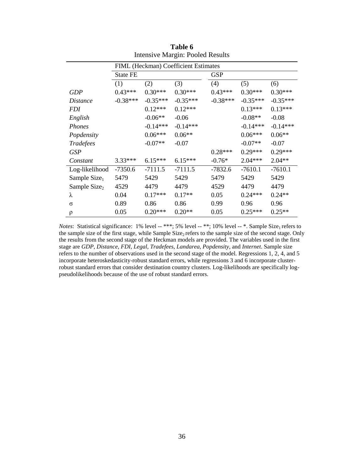|                          | FIML (Heckman) Coefficient Estimates |            |            |            |            |            |
|--------------------------|--------------------------------------|------------|------------|------------|------------|------------|
|                          | <b>State FE</b>                      |            |            | <b>GSP</b> |            |            |
|                          | (1)                                  | (2)        | (3)        | (4)        | (5)        | (6)        |
| <b>GDP</b>               | $0.43***$                            | $0.30***$  | $0.30***$  | $0.43***$  | $0.30***$  | $0.30***$  |
| <i>Distance</i>          | $-0.38***$                           | $-0.35***$ | $-0.35***$ | $-0.38***$ | $-0.35***$ | $-0.35***$ |
| <i>FDI</i>               |                                      | $0.12***$  | $0.12***$  |            | $0.13***$  | $0.13***$  |
| English                  |                                      | $-0.06**$  | $-0.06$    |            | $-0.08**$  | $-0.08$    |
| Phones                   |                                      | $-0.14***$ | $-0.14***$ |            | $-0.14***$ | $-0.14***$ |
| Popdensity               |                                      | $0.06***$  | $0.06**$   |            | $0.06***$  | $0.06**$   |
| Tradefees                |                                      | $-0.07**$  | $-0.07$    |            | $-0.07**$  | $-0.07$    |
| <b>GSP</b>               |                                      |            |            | $0.28***$  | $0.29***$  | $0.29***$  |
| Constant                 | 3.33***                              | $6.15***$  | $6.15***$  | $-0.76*$   | $2.04***$  | $2.04**$   |
| Log-likelihood           | $-7350.6$                            | $-7111.5$  | $-7111.5$  | $-7832.6$  | $-7610.1$  | $-7610.1$  |
| Sample Size <sub>1</sub> | 5479                                 | 5429       | 5429       | 5479       | 5429       | 5429       |
| Sample Size <sub>2</sub> | 4529                                 | 4479       | 4479       | 4529       | 4479       | 4479       |
| λ                        | 0.04                                 | $0.17***$  | $0.17**$   | 0.05       | $0.24***$  | $0.24**$   |
| σ                        | 0.89                                 | 0.86       | 0.86       | 0.99       | 0.96       | 0.96       |
| ρ                        | 0.05                                 | $0.20***$  | $0.20**$   | 0.05       | $0.25***$  | $0.25**$   |

**Table 6** Intensive Margin: Pooled Results

*Notes*: Statistical significance: 1% level -- \*\*\*; 5% level -- \*\*; 10% level -- \*. Sample Size<sub>1</sub> refers to the sample size of the first stage, while Sample Size<sub>2</sub> refers to the sample size of the second stage. Only the results from the second stage of the Heckman models are provided. The variables used in the first stage are *GDP, Distance, FDI, Legal, Tradefees, Landarea, Popdensity*, and *Internet*. Sample size refers to the number of observations used in the second stage of the model. Regressions 1, 2, 4, and 5 incorporate heteroskedasticity-robust standard errors, while regressions 3 and 6 incorporate clusterrobust standard errors that consider destination country clusters. Log-likelihoods are specifically logpseudolikelihoods because of the use of robust standard errors.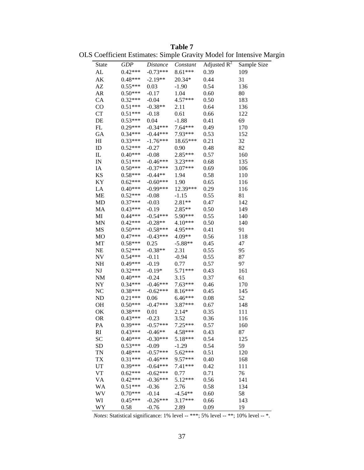**Table 7** OLS Coefficient Estimates: Simple Gravity Model for Intensive Margin

|                                 |            |            | x.        |                |             |
|---------------------------------|------------|------------|-----------|----------------|-------------|
| State                           | <b>GDP</b> | Distance   | Constant  | Adjusted $R^2$ | Sample Size |
| AL                              | $0.42***$  | $-0.73***$ | $8.61***$ | 0.39           | 109         |
| AK                              | $0.48***$  | $-2.19**$  | $20.34*$  | 0.44           | 31          |
| AZ                              | $0.55***$  | 0.03       | $-1.90$   | 0.54           | 136         |
| AR                              | $0.50***$  | $-0.17$    | 1.04      | 0.60           | 80          |
| CA                              | $0.32***$  | $-0.04$    | 4.57***   | 0.50           | 183         |
| CO                              | $0.51***$  | $-0.38**$  | 2.11      | 0.64           | 136         |
| CT                              | $0.51***$  | $-0.18$    | 0.61      | 0.66           | 122         |
| DE                              | $0.53***$  | 0.04       | $-1.88$   | 0.41           | 69          |
| FL                              | $0.29***$  | $-0.34***$ | $7.64***$ | 0.49           | 170         |
| GA                              | $0.34***$  | $-0.44***$ | $7.93***$ | 0.53           | 152         |
| HI                              | $0.33***$  | $-1.76***$ | 18.65***  | 0.21           | 32          |
| ID                              | $0.52***$  | $-0.27$    | 0.90      | 0.48           | 82          |
| ${\rm IL}$                      | $0.40***$  | $-0.08$    | 2.85***   | 0.57           | 160         |
| $\ensuremath{\text{IN}}\xspace$ | $0.51***$  | $-0.46***$ | 3.23***   | 0.68           | 135         |
| IA                              | $0.50***$  | $-0.37***$ | $3.07***$ | 0.69           | 106         |
| KS                              | $0.58***$  | $-0.44**$  | 1.94      | 0.58           | 110         |
| <b>KY</b>                       | $0.62***$  | $-0.60***$ | 1.90      | 0.65           | 116         |
| LA                              | $0.40***$  | $-0.99***$ | 12.39***  | 0.29           | 116         |
| ME                              | $0.52***$  | $-0.08$    | $-1.15$   | 0.55           | 81          |
| <b>MD</b>                       | $0.37***$  | $-0.03$    | $2.81**$  | 0.47           | 142         |
| MA                              | $0.43***$  | $-0.19$    | $2.85**$  | 0.50           | 149         |
| MI                              | $0.44***$  | $-0.54***$ | 5.90***   | 0.55           | 140         |
| <b>MN</b>                       | $0.42***$  | $-0.28**$  | 4.10***   | 0.50           | 140         |
| MS                              | $0.50***$  | $-0.58***$ | 4.95***   | 0.41           | 91          |
| MO                              | $0.47***$  | $-0.43***$ | $4.09**$  | 0.56           | 118         |
| MT                              | $0.58***$  | 0.25       | $-5.88**$ | 0.45           | 47          |
| NE                              | $0.52***$  | $-0.38**$  | 2.31      | 0.55           | 95          |
| NV                              | $0.54***$  | $-0.11$    | $-0.94$   | 0.55           | 87          |
| NH                              | $0.49***$  | $-0.19$    | 0.77      | 0.57           | 97          |
| NJ                              | $0.32***$  | $-0.19*$   | $5.71***$ | 0.43           | 161         |
| NM                              | $0.40***$  | $-0.24$    | 3.15      | 0.37           | 61          |
| NY                              | $0.34***$  | $-0.46***$ | $7.63***$ | 0.46           | 170         |
| NC                              | $0.38***$  | $-0.62***$ | 8.16***   | 0.45           | 145         |
| ND                              | $0.21***$  | 0.06       | $6.46***$ | 0.08           | 52          |
| OH                              | $0.50***$  | $-0.47***$ | 3.87***   | 0.67           | 148         |
| OK                              | $0.38***$  | 0.01       | $2.14*$   | 0.35           | 111         |
| <b>OR</b>                       | $0.43***$  | $-0.23$    | 3.52      | 0.36           | 116         |
| PA                              | 0.39***    | $-0.57***$ | 7.25***   | 0.57           | 160         |
| RI                              | $0.43***$  | $-0.46**$  | 4.58***   | 0.43           | 87          |
| <b>SC</b>                       | $0.40***$  | $-0.30***$ | 5.18***   | 0.54           | 125         |
| <b>SD</b>                       | $0.53***$  | $-0.09$    | $-1.29$   | 0.54           | 59          |
| TN                              | $0.48***$  | $-0.57***$ | 5.62***   | 0.51           | 120         |
| <b>TX</b>                       | $0.31***$  | $-0.46***$ | $9.57***$ | 0.40           | 168         |
| UT                              | $0.39***$  | $-0.64***$ | $7.41***$ | 0.42           | 111         |
| VT                              | $0.62***$  | $-0.62***$ | 0.77      | 0.71           | 76          |
| VA                              | $0.42***$  | $-0.36***$ | $5.12***$ | 0.56           | 141         |
| <b>WA</b>                       | $0.51***$  | $-0.36$    | 2.76      | 0.58           | 134         |
| WV                              | $0.70***$  | $-0.14$    | $-4.54**$ | 0.60           | 58          |
| WI                              | $0.45***$  | $-0.26***$ | $3.17***$ | 0.66           | 143         |
| WY                              |            |            |           |                | 19          |
|                                 | 0.58       | $-0.76$    | 2.89      | 0.09           |             |

*Notes*: Statistical significance: 1% level -- \*\*\*; 5% level -- \*\*; 10% level -- \*.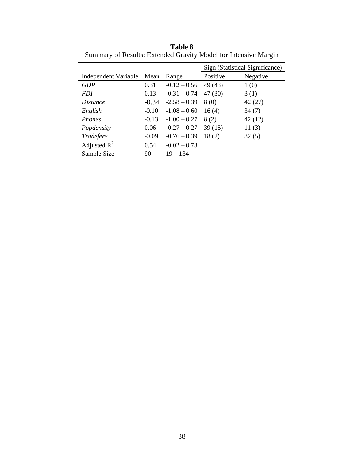|                      |         |                | Sign (Statistical Significance) |          |
|----------------------|---------|----------------|---------------------------------|----------|
| Independent Variable | Mean    | Range          | Positive                        | Negative |
| GDP                  | 0.31    | $-0.12 - 0.56$ | 49 (43)                         | 1(0)     |
| <i>FDI</i>           | 0.13    | $-0.31 - 0.74$ | 47 (30)                         | 3(1)     |
| <i>Distance</i>      | $-0.34$ | $-2.58 - 0.39$ | 8(0)                            | 42(27)   |
| English              | $-0.10$ | $-1.08 - 0.60$ | 16(4)                           | 34(7)    |
| <b>Phones</b>        | $-0.13$ | $-1.00 - 0.27$ | 8(2)                            | 42(12)   |
| Popdensity           | 0.06    | $-0.27 - 0.27$ | 39(15)                          | 11(3)    |
| Tradefees            | $-0.09$ | $-0.76 - 0.39$ | 18(2)                           | 32(5)    |
| Adjusted $R^2$       | 0.54    | $-0.02 - 0.73$ |                                 |          |
| Sample Size          | 90      | $19 - 134$     |                                 |          |

**Table 8** Summary of Results: Extended Gravity Model for Intensive Margin